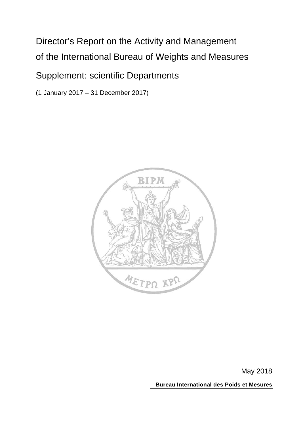# Director's Report on the Activity and Management of the International Bureau of Weights and Measures

# Supplement: scientific Departments

(1 January 2017 – 31 December 2017)



May 2018

**Bureau International des Poids et Mesures**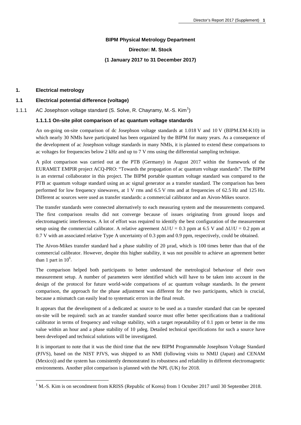## **BIPM Physical Metrology Department**

## **Director: M. Stock**

#### **(1 January 2017 to 31 December 2017)**

#### **1. Electrical metrology**

## **1.1 Electrical potential difference (voltage)**

[1](#page-1-0).1.1 AC Josephson voltage standard (S. Solve, R. Chayramy, M.-S. Kim<sup>1</sup>)

## **1.1.1.1 On-site pilot comparison of ac quantum voltage standards**

An on-going on-site comparison of dc Josephson voltage standards at 1.018 V and 10 V (BIPM.EM-K10) in which nearly 30 NMIs have participated has been organized by the BIPM for many years. As a consequence of the development of ac Josephson voltage standards in many NMIs, it is planned to extend these comparisons to ac voltages for frequencies below 2 kHz and up to 7 V rms using the differential sampling technique.

A pilot comparison was carried out at the PTB (Germany) in August 2017 within the framework of the EURAMET EMPIR project ACQ-PRO: "Towards the propagation of ac quantum voltage standards". The BIPM is an external collaborator in this project. The BIPM portable quantum voltage standard was compared to the PTB ac quantum voltage standard using an ac signal generator as a transfer standard. The comparison has been performed for low frequency sinewaves, at 1 V rms and 6.5 V rms and at frequencies of 62.5 Hz and 125 Hz. Different ac sources were used as transfer standards: a commercial calibrator and an Aivon-Mikes source.

The transfer standards were connected alternatively to each measuring system and the measurements compared. The first comparison results did not converge because of issues originating from ground loops and electromagnetic interferences. A lot of effort was required to identify the best configuration of the measurement setup using the commercial calibrator. A relative agreement  $\Delta U/U = 0.3$  ppm at 6.5 V and  $\Delta U/U = 0.2$  ppm at 0.7 V with an associated relative Type A uncertainty of 0.3 ppm and 0.9 ppm, respectively, could be obtained.

The Aivon-Mikes transfer standard had a phase stability of 20 µrad, which is 100 times better than that of the commercial calibrator. However, despite this higher stability, it was not possible to achieve an agreement better than 1 part in  $10^6$ .

The comparison helped both participants to better understand the metrological behaviour of their own measurement setup. A number of parameters were identified which will have to be taken into account in the design of the protocol for future world-wide comparisons of ac quantum voltage standards. In the present comparison, the approach for the phase adjustment was different for the two participants, which is crucial, because a mismatch can easily lead to systematic errors in the final result.

It appears that the development of a dedicated ac source to be used as a transfer standard that can be operated on-site will be required: such an ac transfer standard source must offer better specifications than a traditional calibrator in terms of frequency and voltage stability, with a target repeatability of 0.1 ppm or better in the rms value within an hour and a phase stability of 10 µdeg. Detailed technical specifications for such a source have been developed and technical solutions will be investigated.

It is important to note that it was the third time that the new BIPM Programmable Josephson Voltage Standard (PJVS), based on the NIST PJVS, was shipped to an NMI (following visits to NMIJ (Japan) and CENAM (Mexico)) and the system has consistently demonstrated its robustness and reliability in different electromagnetic environments. Another pilot comparison is planned with the NPL (UK) for 2018.

<span id="page-1-0"></span><sup>&</sup>lt;sup>1</sup> M.-S. Kim is on secondment from KRISS (Republic of Korea) from 1 October 2017 until 30 September 2018.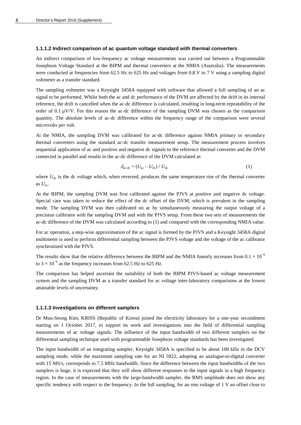#### **1.1.1.2 Indirect comparison of ac quantum voltage standard with thermal converters**

An indirect comparison of low-frequency ac voltage measurements was carried out between a Programmable Josephson Voltage Standard at the BIPM and thermal converters at the NMIA (Australia). The measurements were conducted at frequencies from 62.5 Hz to 625 Hz and voltages from 0.8 V to 7 V using a sampling digital voltmeter as a transfer standard.

The sampling voltmeter was a Keysight 3458A equipped with software that allowed a full sampling of an ac signal to be performed. Whilst both the ac and dc performance of the DVM are affected by the drift in its internal reference, the drift is cancelled when the ac-dc difference is calculated, resulting in long-term repeatability of the order of 0.1  $\mu$ V/V. For this reason the ac-dc difference of the sampling DVM was chosen as the comparison quantity. The absolute levels of ac-dc difference within the frequency range of the comparison were several microvolts per volt.

At the NMIA, the sampling DVM was calibrated for ac-dc difference against NMIA primary or secondary thermal converters using the standard ac-dc transfer measurement setup. The measurement process involves sequential application of ac and positive and negative dc signals to the reference thermal converter and the DVM connected in parallel and results in the ac-dc difference of the DVM calculated as

$$
\delta_{\text{ac-de}} = (U_{\text{ac}} - U_{\text{dc}}) / U_{\text{dc}}
$$
 (1)

where  $U_{\text{dc}}$  is the dc voltage which, when reversed, produces the same temperature rise of the thermal converter as  $U_{ac}$ .

At the BIPM, the sampling DVM was first calibrated against the PJVS at positive and negative dc voltage. Special care was taken to reduce the effect of the dc offset of the DVM, which is prevalent in the sampling mode. The sampling DVM was then calibrated on ac by simultaneously measuring the output voltage of a precision calibrator with the sampling DVM and with the PJVS setup. From these two sets of measurements the ac-dc difference of the DVM was calculated according to (1) and compared with the corresponding NMIA value.

For ac operation, a step-wise approximation of the ac signal is formed by the PJVS and a Keysight 3458A digital multimeter is used to perform differential sampling between the PJVS voltage and the voltage of the ac calibrator synchronized with the PJVS.

The results show that the relative difference between the BIPM and the NMIA linearly increases from  $0.1 \times 10^{-6}$ to  $3 \times 10^{-6}$  as the frequency increases from 62.5 Hz to 625 Hz.

The comparison has helped ascertain the suitability of both the BIPM PJVS-based ac voltage measurement system and the sampling DVM as a transfer standard for ac voltage inter-laboratory comparisons at the lowest attainable levels of uncertainty.

## **1.1.1.3 Investigations on different samplers**

Dr Mun-Seong Kim, KRISS (Republic of Korea) joined the electricity laboratory for a one-year secondment starting on 1 October 2017, to support its work and investigations into the field of differential sampling measurements of ac voltage signals. The influence of the input bandwidth of two different samplers on the differential sampling technique used with programmable Josephson voltage standards has been investigated.

The input bandwidth of an integrating sampler, Keysight 3458A is specified to be about 100 kHz in the DCV sampling mode, while the maximum sampling rate for an NI 5922, adopting an analogue-to-digital converter with 15 MS/s, corresponds to 7.5 MHz bandwidth. Since the difference between the input bandwidths of the two samplers is huge, it is expected that they will show different responses to the input signals in a high frequency region. In the case of measurements with the large-bandwidth sampler, the RMS amplitude does not show any specific tendency with respect to the frequency. In the full sampling, for an rms voltage of 1 V an offset close to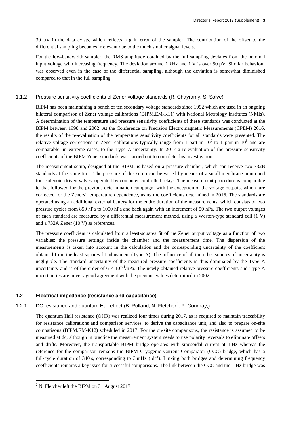30 µV in the data exists, which reflects a gain error of the sampler. The contribution of the offset to the differential sampling becomes irrelevant due to the much smaller signal levels.

For the low-bandwidth sampler, the RMS amplitude obtained by the full sampling deviates from the nominal input voltage with increasing frequency. The deviation around 1 kHz and 1 V is over 50  $\mu$ V. Similar behaviour was observed even in the case of the differential sampling, although the deviation is somewhat diminished compared to that in the full sampling.

#### 1.1.2 Pressure sensitivity coefficients of Zener voltage standards (R. Chayramy, S. Solve)

BIPM has been maintaining a bench of ten secondary voltage standards since 1992 which are used in an ongoing bilateral comparison of Zener voltage calibrations (BIPM.EM-K11) with National Metrology Institutes (NMIs). A determination of the temperature and pressure sensitivity coefficients of these standards was conducted at the BIPM between 1998 and 2002. At the Conference on Precision Electromagnetic Measurements (CPEM) 2016, the results of the re-evaluation of the temperature sensitivity coefficients for all standards were presented. The relative voltage corrections in Zener calibrations typically range from 1 part in  $10^9$  to 1 part in  $10^8$  and are comparable, in extreme cases, to the Type A uncertainty. In 2017 a re-evaluation of the pressure sensitivity coefficients of the BIPM Zener standards was carried out to complete this investigation.

The measurement setup, designed at the BIPM, is based on a pressure chamber, which can receive two 732B standards at the same time. The pressure of this setup can be varied by means of a small membrane pump and four solenoid-driven valves, operated by computer-controlled relays. The measurement procedure is comparable to that followed for the previous determination campaign, with the exception of the voltage outputs, which are corrected for the Zeners' temperature dependence, using the coefficients determined in 2016. The standards are operated using an additional external battery for the entire duration of the measurements, which consists of two pressure cycles from 850 hPa to 1050 hPa and back again with an increment of 50 hPa. The two output voltages of each standard are measured by a differential measurement method, using a Weston-type standard cell (1 V) and a 732A Zener (10 V) as references.

The pressure coefficient is calculated from a least-squares fit of the Zener output voltage as a function of two variables: the pressure settings inside the chamber and the measurement time. The dispersion of the measurements is taken into account in the calculation and the corresponding uncertainty of the coefficient obtained from the least-squares fit adjustment (Type A). The influence of all the other sources of uncertainty is negligible. The standard uncertainty of the measured pressure coefficients is thus dominated by the Type A uncertainty and is of the order of  $6 \times 10^{-11}$ /hPa. The newly obtained relative pressure coefficients and Type A uncertainties are in very good agreement with the previous values determined in 2002.

#### **1.2 Electrical impedance (resistance and capacitance)**

## 1.[2](#page-3-0).1 DC resistance and quantum Hall effect (B. Rolland, N. Fletcher<sup>2</sup>, P. Gournay,)

The quantum Hall resistance (QHR) was realized four times during 2017, as is required to maintain traceability for resistance calibrations and comparison services, to derive the capacitance unit, and also to prepare on-site comparisons (BIPM.EM-K12) scheduled in 2017. For the on-site comparisons, the resistance is assumed to be measured at dc, although in practice the measurement system needs to use polarity reversals to eliminate offsets and drifts. Moreover, the transportable BIPM bridge operates with sinusoidal current at 1 Hz whereas the reference for the comparison remains the BIPM Cryogenic Current Comparator (CCC) bridge, which has a full-cycle duration of 340 s, corresponding to 3 mHz ('dc'). Linking both bridges and determining frequency coefficients remains a key issue for successful comparisons. The link between the CCC and the 1 Hz bridge was

<span id="page-3-0"></span> $^{2}$  N. Fletcher left the BIPM on 31 August 2017.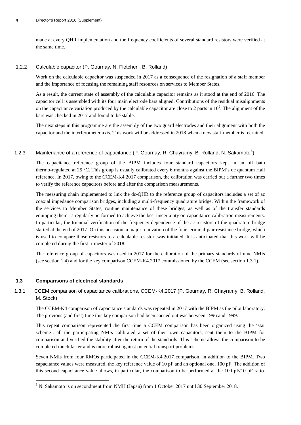made at every QHR implementation and the frequency coefficients of several standard resistors were verified at the same time.

## 1.2.2 Calculable capacitor (P. Gournay, N. Fletcher<sup>2</sup>, B. Rolland)

Work on the calculable capacitor was suspended in 2017 as a consequence of the resignation of a staff member and the importance of focusing the remaining staff resources on services to Member States.

As a result, the current state of assembly of the calculable capacitor remains as it stood at the end of 2016. The capacitor cell is assembled with its four main electrode bars aligned. Contributions of the residual misalignments on the capacitance variation produced by the calculable capacitor are close to 2 parts in  $10^9$ . The alignment of the bars was checked in 2017 and found to be stable.

The next steps in this programme are the assembly of the two guard electrodes and their alignment with both the capacitor and the interferometer axis. This work will be addressed in 2018 when a new staff member is recruited.

## 1.2.[3](#page-4-0) Maintenance of a reference of capacitance (P. Gournay, R. Chayramy, B. Rolland, N. Sakamoto<sup>3</sup>)

The capacitance reference group of the BIPM includes four standard capacitors kept in an oil bath thermo-regulated at 25 °C. This group is usually calibrated every 6 months against the BIPM's dc quantum Hall reference. In 2017, owing to the CCEM-K4.2017 comparison, the calibration was carried out a further two times to verify the reference capacitors before and after the comparison measurements.

The measuring chain implemented to link the dc-QHR to the reference group of capacitors includes a set of ac coaxial impedance comparison bridges, including a multi-frequency quadrature bridge. Within the framework of the services to Member States, routine maintenance of these bridges, as well as of the transfer standards equipping them, is regularly performed to achieve the best uncertainty on capacitance calibration measurements. In particular, the triennial verification of the frequency dependence of the ac-resistors of the quadrature bridge started at the end of 2017. On this occasion, a major renovation of the four-terminal-pair resistance bridge, which is used to compare those resistors to a calculable resistor, was initiated. It is anticipated that this work will be completed during the first trimester of 2018.

The reference group of capacitors was used in 2017 for the calibration of the primary standards of nine NMIs (see section 1.4) and for the key comparison CCEM-K4.2017 commissioned by the CCEM (see section 1.3.1).

#### **1.3 Comparisons of electrical standards**

1.3.1 CCEM comparison of capacitance calibrations, CCEM-K4.2017 (P. Gournay, R. Chayramy, B. Rolland, M. Stock)

The CCEM-K4 comparison of capacitance standards was repeated in 2017 with the BIPM as the pilot laboratory. The previous (and first) time this key comparison had been carried out was between 1996 and 1999.

This repeat comparison represented the first time a CCEM comparison has been organized using the 'star scheme': all the participating NMIs calibrated a set of their own capacitors, sent them to the BIPM for comparison and verified the stability after the return of the standards. This scheme allows the comparison to be completed much faster and is more robust against potential transport problems.

Seven NMIs from four RMOs participated in the CCEM-K4.2017 comparison, in addition to the BIPM. Two capacitance values were measured, the key reference value of 10 pF and an optional one, 100 pF. The addition of this second capacitance value allows, in particular, the comparison to be performed at the 100 pF/10 pF ratio.

<span id="page-4-0"></span><sup>&</sup>lt;sup>3</sup> N. Sakamoto is on secondment from NMIJ (Japan) from 1 October 2017 until 30 September 2018.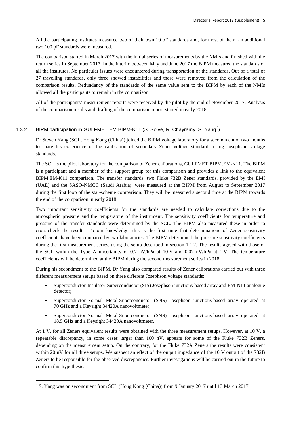All the participating institutes measured two of their own 10 pF standards and, for most of them, an additional two 100 pF standards were measured.

The comparison started in March 2017 with the initial series of measurements by the NMIs and finished with the return series in September 2017. In the interim between May and June 2017 the BIPM measured the standards of all the institutes. No particular issues were encountered during transportation of the standards. Out of a total of 27 travelling standards, only three showed instabilities and these were removed from the calculation of the comparison results. Redundancy of the standards of the same value sent to the BIPM by each of the NMIs allowed all the participants to remain in the comparison.

All of the participants' measurement reports were received by the pilot by the end of November 2017. Analysis of the comparison results and drafting of the comparison report started in early 2018.

## 1.3.2 BIPM participation in GULFMET.EM.BIPM-K11 (S. Solve, R. Chayramy, S. Yang<sup>[4](#page-5-0)</sup>)

Dr Steven Yang (SCL, Hong Kong (China)) joined the BIPM voltage laboratory for a secondment of two months to share his experience of the calibration of secondary Zener voltage standards using Josephson voltage standards.

The SCL is the pilot laboratory for the comparison of Zener calibrations, GULFMET.BIPM.EM-K11. The BIPM is a participant and a member of the support group for this comparison and provides a link to the equivalent BIPM.EM-K11 comparison. The transfer standards, two Fluke 732B Zener standards, provided by the EMI (UAE) and the SASO-NMCC (Saudi Arabia), were measured at the BIPM from August to September 2017 during the first loop of the star-scheme comparison. They will be measured a second time at the BIPM towards the end of the comparison in early 2018.

Two important sensitivity coefficients for the standards are needed to calculate corrections due to the atmospheric pressure and the temperature of the instrument. The sensitivity coefficients for temperature and pressure of the transfer standards were determined by the SCL. The BIPM also measured these in order to cross-check the results. To our knowledge, this is the first time that determinations of Zener sensitivity coefficients have been compared by two laboratories. The BIPM determined the pressure sensitivity coefficients during the first measurement series, using the setup described in section 1.1.2. The results agreed with those of the SCL within the Type A uncertainty of 0.7 nV/hPa at 10 V and 0.07 nV/hPa at 1 V. The temperature coefficients will be determined at the BIPM during the second measurement series in 2018.

During his secondment to the BIPM, Dr Yang also compared results of Zener calibrations carried out with three different measurement setups based on three different Josephson voltage standards:

- Superconductor-Insulator-Superconductor (SIS) Josephson junctions-based array and EM-N11 analogue detector;
- Superconductor-Normal Metal-Superconductor (SNS) Josephson junctions-based array operated at 70 GHz and a Keysight 34420A nanovoltmeter;
- Superconductor-Normal Metal-Superconductor (SNS) Josephson junctions-based array operated at 18.5 GHz and a Keysight 34420A nanovoltmeter.

At 1 V, for all Zeners equivalent results were obtained with the three measurement setups. However, at 10 V, a repeatable discrepancy, in some cases larger than 100 nV, appears for some of the Fluke 732B Zeners, depending on the measurement setup. On the contrary, for the Fluke 732A Zeners the results were consistent within 20 nV for all three setups. We suspect an effect of the output impedance of the 10 V output of the 732B Zeners to be responsible for the observed discrepancies. Further investigations will be carried out in the future to confirm this hypothesis.

<span id="page-5-0"></span> <sup>4</sup> S. Yang was on secondment from SCL (Hong Kong (China)) from 9 January 2017 until 13 March 2017.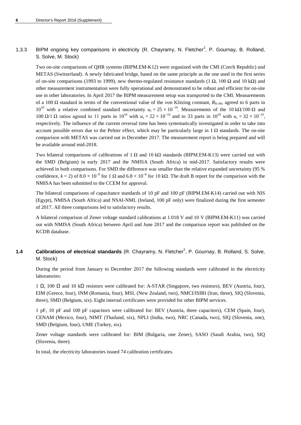## 1.3.3 BIPM ongoing key comparisons in electricity (R. Chayramy, N. Fletcher<sup>2</sup>, P. Gournay, B. Rolland, S. Solve, M. Stock)

Two on-site comparisons of QHR systems (BIPM.EM-K12) were organized with the CMI (Czech Republic) and METAS (Switzerland). A newly fabricated bridge, based on the same principle as the one used in the first series of on-site comparisons (1993 to 1999), new thermo-regulated resistance standards (1 Ω, 100 Ω and 10 kΩ) and other measurement instrumentation were fully operational and demonstrated to be robust and efficient for on-site use in other laboratories. In April 2017 the BIPM measurement setup was transported to the CMI. Measurements of a 100 Ω standard in terms of the conventional value of the von Klitzing constant,  $R_{K-90}$ , agreed to 6 parts in 10<sup>10</sup> with a relative combined standard uncertainty  $u_c = 25 \times 10^{-10}$ . Measurements of the 10 kΩ/100 Ω and 100 Ω/1 Ω ratios agreed to 11 parts in 10<sup>10</sup> with  $u_c = 22 \times 10^{-10}$  and to 33 parts in 10<sup>10</sup> with  $u_c = 32 \times 10^{-10}$ , respectively. The influence of the current reversal time has been systematically investigated in order to take into account possible errors due to the Peltier effect, which may be particularly large in  $1 \Omega$  standards. The on-site comparison with METAS was carried out in December 2017. The measurement report is being prepared and will be available around mid-2018.

Two bilateral comparisons of calibrations of 1  $\Omega$  and 10 k $\Omega$  standards (BIPM.EM-K13) were carried out with the SMD (Belgium) in early 2017 and the NMISA (South Africa) in mid-2017. Satisfactory results were achieved in both comparisons. For SMD the difference was smaller than the relative expanded uncertainty (95 % confidence,  $k = 2$ ) of  $8.0 \times 10^{-8}$  for 1  $\Omega$  and  $6.8 \times 10^{-8}$  for 10 k $\Omega$ . The draft B report for the comparison with the NMISA has been submitted to the CCEM for approval.

The bilateral comparisons of capacitance standards of 10 pF and 100 pF (BIPM.EM-K14) carried out with NIS (Egypt), NMISA (South Africa) and NSAI-NML (Ireland, 100 pF only) were finalized during the first semester of 2017. All three comparisons led to satisfactory results.

A bilateral comparison of Zener voltage standard calibrations at 1.018 V and 10 V (BIPM.EM-K11) was carried out with NMISA (South Africa) between April and June 2017 and the comparison report was published on the KCDB database.

## **1.4** Calibrations of electrical standards (R. Chayramy, N. Fletcher<sup>2</sup>, P. Gournay, B. Rolland, S. Solve, M. Stock)

During the period from January to December 2017 the following standards were calibrated in the electricity laboratories:

1 Ω, 100 Ω and 10 kΩ resistors were calibrated for: A-STAR (Singapore, two resistors), BEV (Austria, four), EIM (Greece, four), INM (Romania, four), MSL (New Zealand, two), NMCI/ISIRI (Iran, three), SIQ (Slovenia, three), SMD (Belgium, six). Eight internal certificates were provided for other BIPM services.

1 pF, 10 pF and 100 pF capacitors were calibrated for: BEV (Austria, three capacitors), CEM (Spain, four), CENAM (Mexico, four), NIMT (Thailand, six), NPLI (India, two), NRC (Canada, two), SIQ (Slovenia, one), SMD (Belgium, four), UME (Turkey, six).

Zener voltage standards were calibrated for: BIM (Bulgaria, one Zener), SASO (Saudi Arabia, two), SIQ (Slovenia, three).

In total, the electricity laboratories issued 74 calibration certificates.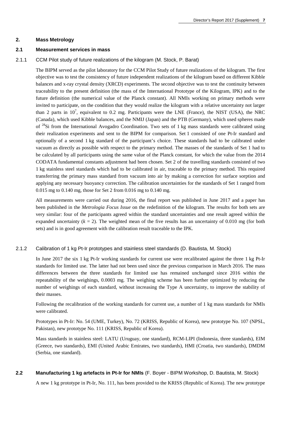#### **2. Mass Metrology**

## **2.1 Measurement services in mass**

## 2.1.1 CCM Pilot study of future realizations of the kilogram (M. Stock, P. Barat)

The BIPM served as the pilot laboratory for the CCM Pilot Study of future realizations of the kilogram. The first objective was to test the consistency of future independent realizations of the kilogram based on different Kibble balances and x-ray crystal density (XRCD) experiments. The second objective was to test the continuity between traceability to the present definition (the mass of the International Prototype of the Kilogram, IPK) and to the future definition (the numerical value of the Planck constant). All NMIs working on primary methods were invited to participate, on the condition that they would realize the kilogram with a relative uncertainty not larger than 2 parts in  $10^7$ , equivalent to 0.2 mg. Participants were the LNE (France), the NIST (USA), the NRC (Canada), which used Kibble balances, and the NMIJ (Japan) and the PTB (Germany), which used spheres made of 28Si from the International Avogadro Coordination. Two sets of 1 kg mass standards were calibrated using their realization experiments and sent to the BIPM for comparison. Set 1 consisted of one Pt-Ir standard and optionally of a second 1 kg standard of the participant's choice. These standards had to be calibrated under vacuum as directly as possible with respect to the primary method. The masses of the standards of Set 1 had to be calculated by all participants using the same value of the Planck constant, for which the value from the 2014 CODATA fundamental constants adjustment had been chosen. Set 2 of the travelling standards consisted of two 1 kg stainless steel standards which had to be calibrated in air, traceable to the primary method. This required transferring the primary mass standard from vacuum into air by making a correction for surface sorption and applying any necessary buoyancy correction. The calibration uncertainties for the standards of Set 1 ranged from 0.015 mg to 0.140 mg, those for Set 2 from 0.016 mg to 0.140 mg.

All measurements were carried out during 2016, the final report was published in June 2017 and a paper has been published in the *Metrologia Focus Issue* on the redefinition of the kilogram. The results for both sets are very similar: four of the participants agreed within the standard uncertainties and one result agreed within the expanded uncertainty  $(k = 2)$ . The weighted mean of the five results has an uncertainty of 0.010 mg (for both sets) and is in good agreement with the calibration result traceable to the IPK.

## 2.1.2 Calibration of 1 kg Pt-Ir prototypes and stainless steel standards (D. Bautista, M. Stock)

In June 2017 the six 1 kg Pt-Ir working standards for current use were recalibrated against the three 1 kg Pt-Ir standards for limited use. The latter had not been used since the previous comparison in March 2016. The mass differences between the three standards for limited use has remained unchanged since 2016 within the repeatability of the weighings, 0.0003 mg. The weighing scheme has been further optimized by reducing the number of weighings of each standard, without increasing the Type A uncertainty, to improve the stability of their masses.

Following the recalibration of the working standards for current use, a number of 1 kg mass standards for NMIs were calibrated.

Prototypes in Pt-Ir: No. 54 (UME, Turkey), No. 72 (KRISS, Republic of Korea), new prototype No. 107 (NPSL, Pakistan), new prototype No. 111 (KRISS, Republic of Korea).

Mass standards in stainless steel: LATU (Uruguay, one standard), RCM-LIPI (Indonesia, three standards), EIM (Greece, two standards), EMI (United Arabic Emirates, two standards), HMI (Croatia, two standards), DMDM (Serbia, one standard).

## **2.2 Manufacturing 1 kg artefacts in Pt-Ir for NMIs** (F. Boyer - BIPM Workshop, D. Bautista, M. Stock)

A new 1 kg prototype in Pt-Ir, No. 111, has been provided to the KRISS (Republic of Korea). The new prototype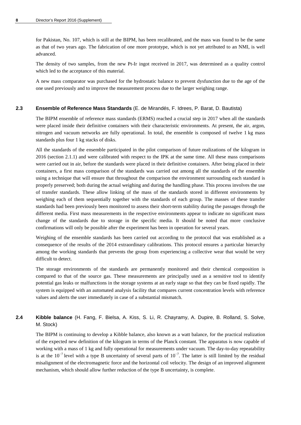for Pakistan, No. 107, which is still at the BIPM, has been recalibrated, and the mass was found to be the same as that of two years ago. The fabrication of one more prototype, which is not yet attributed to an NMI, is well advanced.

The density of two samples, from the new Pt-Ir ingot received in 2017, was determined as a quality control which led to the acceptance of this material.

A new mass comparator was purchased for the hydrostatic balance to prevent dysfunction due to the age of the one used previously and to improve the measurement process due to the larger weighing range.

#### **2.3 Ensemble of Reference Mass Standards** (E. de Mirandés, F. Idrees, P. Barat, D. Bautista)

The BIPM ensemble of reference mass standards (ERMS) reached a crucial step in 2017 when all the standards were placed inside their definitive containers with their characteristic environments. At present, the air, argon, nitrogen and vacuum networks are fully operational. In total, the ensemble is composed of twelve 1 kg mass standards plus four 1 kg stacks of disks.

All the standards of the ensemble participated in the pilot comparison of future realizations of the kilogram in 2016 (section 2.1.1) and were calibrated with respect to the IPK at the same time. All these mass comparisons were carried out in air, before the standards were placed in their definitive containers. After being placed in their containers, a first mass comparison of the standards was carried out among all the standards of the ensemble using a technique that will ensure that throughout the comparison the environment surrounding each standard is properly preserved; both during the actual weighing and during the handling phase. This process involves the use of transfer standards. These allow linking of the mass of the standards stored in different environments by weighing each of them sequentially together with the standards of each group. The masses of these transfer standards had been previously been monitored to assess their short-term stability during the passages through the different media. First mass measurements in the respective environments appear to indicate no significant mass change of the standards due to storage in the specific media. It should be noted that more conclusive confirmations will only be possible after the experiment has been in operation for several years.

Weighing of the ensemble standards has been carried out according to the protocol that was established as a consequence of the results of the 2014 extraordinary calibrations. This protocol ensures a particular hierarchy among the working standards that prevents the group from experiencing a collective wear that would be very difficult to detect.

The storage environments of the standards are permanently monitored and their chemical composition is compared to that of the source gas. These measurements are principally used as a sensitive tool to identify potential gas leaks or malfunctions in the storage systems at an early stage so that they can be fixed rapidly. The system is equipped with an automated analysis facility that compares current concentration levels with reference values and alerts the user immediately in case of a substantial mismatch.

## **2.4 Kibble balance** (H. Fang, F. Bielsa, A. Kiss, S. Li, R. Chayramy, A. Dupire, B. Rolland, S. Solve, M. Stock)

The BIPM is continuing to develop a Kibble balance, also known as a watt balance, for the practical realization of the expected new definition of the kilogram in terms of the Planck constant. The apparatus is now capable of working with a mass of 1 kg and fully operational for measurements under vacuum. The day-to-day repeatability is at the  $10^{-7}$  level with a type B uncertainty of several parts of  $10^{-7}$ . The latter is still limited by the residual misalignment of the electromagnetic force and the horizontal coil velocity. The design of an improved alignment mechanism, which should allow further reduction of the type B uncertainty, is complete.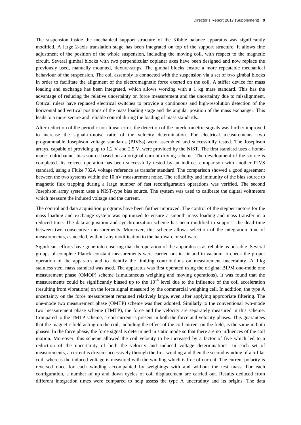The suspension inside the mechanical support structure of the Kibble balance apparatus was significantly modified. A large 2-axis translation stage has been integrated on top of the support structure. It allows fine adjustment of the position of the whole suspension, including the moving coil, with respect to the magnetic circuit. Several gimbal blocks with two perpendicular coplanar axes have been designed and now replace the previously used, manually mounted, flexure-strips. The gimbal blocks ensure a more repeatable mechanical behaviour of the suspension. The coil assembly is connected with the suspension via a set of two gimbal blocks in order to facilitate the alignment of the electromagnetic force exerted on the coil. A stiffer device for mass loading and exchange has been integrated, which allows working with a 1 kg mass standard. This has the advantage of reducing the relative uncertainty on force measurement and the uncertainty due to misalignment. Optical rulers have replaced electrical switches to provide a continuous and high-resolution detection of the horizontal and vertical positions of the mass loading stage and the angular position of the mass exchanger. This leads to a more secure and reliable control during the loading of mass standards.

After reduction of the periodic non-linear error, the detection of the interferometric signals was further improved to increase the signal-to-noise ratio of the velocity determination. For electrical measurements, two programmable Josephson voltage standards (PJVSs) were assembled and successfully tested. The Josephson arrays, capable of providing up to 1.2 V and 2.5 V, were provided by the NIST. The first standard uses a homemade multichannel bias source based on an original current-driving scheme. The development of the source is completed. Its correct operation has been successfully tested by an indirect comparison with another PJVS standard, using a Fluke 732A voltage reference as transfer standard. The comparison showed a good agreement between the two systems within the 10 nV measurement noise. The reliability and immunity of the bias source to magnetic flux trapping during a large number of fast reconfiguration operations was verified. The second Josephson array system uses a NIST-type bias source. The system was used to calibrate the digital voltmeters which measure the induced voltage and the current.

The control and data acquisition programs have been further improved. The control of the stepper motors for the mass loading and exchange system was optimized to ensure a smooth mass loading and mass transfer in a reduced time. The data acquisition and synchronization scheme has been modified to suppress the dead time between two consecutive measurements. Moreover, this scheme allows selection of the integration time of measurements, as needed, without any modification to the hardware or software.

Significant efforts have gone into ensuring that the operation of the apparatus is as reliable as possible. Several groups of complete Planck constant measurements were carried out in air and in vacuum to check the proper operation of the apparatus and to identify the limiting contributions on measurement uncertainty. A 1 kg stainless steel mass standard was used. The apparatus was first operated using the original BIPM one-mode one measurement phase (OMOP) scheme (simultaneous weighing and moving operations). It was found that the measurements could be significantly biased up to the  $10^{-6}$  level due to the influence of the coil acceleration (resulting from vibrations) on the force signal measured by the commercial weighing cell. In addition, the type A uncertainty on the force measurement remained relatively large, even after applying appropriate filtering. The one-mode two measurement phase (OMTP) scheme was then adopted. Similarly to the conventional two-mode two measurement phase scheme (TMTP), the force and the velocity are separately measured in this scheme. Compared to the TMTP scheme, a coil current is present in both the force and velocity phases. This guarantees that the magnetic field acting on the coil, including the effect of the coil current on the field, is the same in both phases. In the force phase, the force signal is determined in static mode so that there are no influences of the coil motion. Moreover, this scheme allowed the coil velocity to be increased by a factor of five which led to a reduction of the uncertainty of both the velocity and induced voltage determinations. In each set of measurements, a current is driven successively through the first winding and then the second winding of a bifilar coil, whereas the induced voltage is measured with the winding which is free of current. The current polarity is reversed once for each winding accompanied by weighings with and without the test mass. For each configuration, a number of up and down cycles of coil displacement are carried out. Results deduced from different integration times were compared to help assess the type A uncertainty and its origins. The data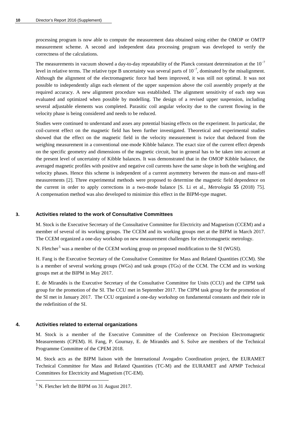processing program is now able to compute the measurement data obtained using either the OMOP or OMTP measurement scheme. A second and independent data processing program was developed to verify the correctness of the calculations.

The measurements in vacuum showed a day-to-day repeatability of the Planck constant determination at the  $10^{-7}$ level in relative terms. The relative type B uncertainty was several parts of  $10^{-7}$ , dominated by the misalignment. Although the alignment of the electromagnetic force had been improved, it was still not optimal. It was not possible to independently align each element of the upper suspension above the coil assembly properly at the required accuracy. A new alignment procedure was established. The alignment sensitivity of each step was evaluated and optimized when possible by modelling. The design of a revised upper suspension, including several adjustable elements was completed. Parasitic coil angular velocity due to the current flowing in the velocity phase is being considered and needs to be reduced.

Studies were continued to understand and asses any potential biasing effects on the experiment. In particular, the coil-current effect on the magnetic field has been further investigated. Theoretical and experimental studies showed that the effect on the magnetic field in the velocity measurement is twice that deduced from the weighing measurement in a conventional one-mode Kibble balance. The exact size of the current effect depends on the specific geometry and dimensions of the magnetic circuit, but in general has to be taken into account at the present level of uncertainty of Kibble balances. It was demonstrated that in the OMOP Kibble balance, the averaged magnetic profiles with positive and negative coil currents have the same slope in both the weighing and velocity phases. Hence this scheme is independent of a current asymmetry between the mass-on and mass-off measurements [2]. Three experimental methods were proposed to determine the magnetic field dependence on the current in order to apply corrections in a two-mode balance [S. Li et al., *Metrologia* **55** (2018) 75]. A compensation method was also developed to minimize this effect in the BIPM-type magnet.

#### **3. Activities related to the work of Consultative Committees**

M. Stock is the Executive Secretary of the Consultative Committee for Electricity and Magnetism (CCEM) and a member of several of its working groups. The CCEM and its working groups met at the BIPM in March 2017. The CCEM organized a one-day workshop on new measurement challenges for electromagnetic metrology.

N. Fletcher<sup>[5](#page-10-0)</sup> was a member of the CCEM working group on proposed modification to the SI (WGSI).

H. Fang is the Executive Secretary of the Consultative Committee for Mass and Related Quantities (CCM). She is a member of several working groups (WGs) and task groups (TGs) of the CCM. The CCM and its working groups met at the BIPM in May 2017.

E. de Mirandés is the Executive Secretary of the Consultative Committee for Units (CCU) and the CIPM task group for the promotion of the SI. The CCU met in September 2017. The CIPM task group for the promotion of the SI met in January 2017. The CCU organized a one-day workshop on fundamental constants and their role in the redefinition of the SI.

#### **4. Activities related to external organizations**

M. Stock is a member of the Executive Committee of the Conference on Precision Electromagnetic Measurements (CPEM). H. Fang, P. Gournay, E. de Mirandés and S. Solve are members of the Technical Programme Committee of the CPEM 2018.

M. Stock acts as the BIPM liaison with the International Avogadro Coordination project, the EURAMET Technical Committee for Mass and Related Quantities (TC-M) and the EURAMET and APMP Technical Committees for Electricity and Magnetism (TC-EM).

<span id="page-10-0"></span> $<sup>5</sup>$  N. Fletcher left the BIPM on 31 August 2017.</sup>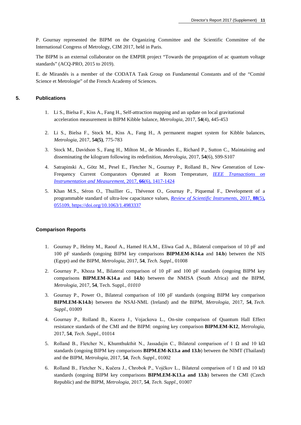P. Gournay represented the BIPM on the Organizing Committee and the Scientific Committee of the International Congress of Metrology, CIM 2017, held in Paris.

The BIPM is an external collaborator on the EMPIR project "Towards the propagation of ac quantum voltage standards" (ACQ-PRO, 2015 to 2019).

E. de Mirandés is a member of the CODATA Task Group on Fundamental Constants and of the "Comité Science et Metrologie" of the French Academy of Sciences.

## **5. Publications**

- 1. Li S., Bielsa F., Kiss A., Fang H., Self-attraction mapping and an update on local gravitational acceleration measurement in BIPM Kibble balance, *Metrologia*, 2017, **54**[\(4\), 445-453](http://stacks.iop.org/0026-1394/54/445)
- 2. Li S., Bielsa F., Stock M., Kiss A., Fang H., A permanent magnet system for Kibble balances, *[Metrologia](http://stacks.iop.org/0026-1394/54/775)*, 2017, **54(5)**, 775-783
- 3. Stock M., Davidson S., Fang H., Milton M., de Mirandes E., Richard P., Sutton C., Maintaining and disseminating the kilogram following its redefinition, *Metrologia*, 2017, **54**[\(6\), S99-S107](http://stacks.iop.org/0026-1394/54/S99)
- 4. Satrapinski A., Götz M., Pesel E., Fletcher N., Gournay P., Rolland B., New Generation of Low-Frequency Current Comparators Operated at Room Temperature, *[IEEE Transactions on](tttps://doi.org/10.1109/TIM.2017.2652198)  [Instrumentation and Measurement](tttps://doi.org/10.1109/TIM.2017.2652198)*, 2017, **66**(6), 1417-1424
- 5. Khan M.S., Séron O., Thuillier G., Thévenot O., Gournay P., Piquemal F., Development of a programmable standard of ultra-low capacitance values, *[Review of Scientific Instruments](https://doi.org/10.1063/1.4983337)*, 2017, **88**(5)**,** [055109, https://doi.org/10.1063/1.4983337](https://doi.org/10.1063/1.4983337)

#### **Comparison Reports**

- 1. Gournay P., Helmy M., Raouf A., Hamed H.A.M., Eliwa Gad A., Bilateral comparison of 10 pF and 100 pF standards (ongoing BIPM key comparisons **BIPM.EM-K14.a** and **14.b**) between the NIS (Egypt) and the BIPM, *Metrologia*, 2017, **54**, *[Tech. Suppl.](http://stacks.iop.org/0026-1394/54/01008)*, 01008
- 2. Gournay P., Khoza M., Bilateral comparison of 10 pF and 100 pF standards (ongoing BIPM key comparisons **BIPM.EM**-**K14.a** and **14.b**) between the NMISA (South Africa) and the BIPM, *Metrologia*, 2017, **54**, [Tech. Suppl](http://stacks.iop.org/0026-1394/54/01010)*., 01010*
- 3. Gournay P., Power O., Bilateral comparison of 100 pF standards (ongoing BIPM key comparison **BIPM.EM-K14.b**) between the NSAI-NML (Ireland) and the BIPM, *[Metrologia](http://stacks.iop.org/0026-1394/54/01009)*, 2017, **54**, *Tech. Suppl*[., 01009](http://stacks.iop.org/0026-1394/54/01009)
- 4. Gournay P., Rolland B., Kucera J., Vojackova L., On-site comparison of Quantum Hall Effect resistance standards of the CMI and the BIPM: ongoing key comparison **BIPM.EM-K12**, *[Metrologia](http://stacks.iop.org/0026-1394/54/01014)*, 2017, **54**, *Tech. Suppl.*[, 01014](http://stacks.iop.org/0026-1394/54/01014)
- 5. Rolland B., Fletcher N., Khumthukthit N., Jassadajin C., Bilateral comparison of 1 Ω and 10 kΩ standards (ongoing BIPM key comparisons **BIPM.EM-K13.a and 13.b**) between the NIMT (Thailand) and the BIPM, *Metrologia*, 2017, **54**, *[Tech. Suppl](http://stacks.iop.org/0026-1394/54/01002)*., 01002
- 6. Rolland B., Fletcher N., Kučera J., Chrobok P., Vojčkov L., Bilateral comparison of 1 Ω and 10 kΩ standards (ongoing BIPM key comparisons **BIPM.EM-K13.a and 13.b**) between the CMI (Czech Republic) and the BIPM, *Metrologia*, 2017, **54**, *[Tech. Suppl](http://stacks.iop.org/0026-1394/54/01007)*., 01007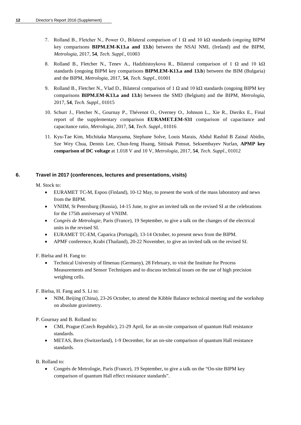- 7. Rolland B., Fletcher N., Power O., Bilateral comparison of 1  $\Omega$  and 10 k $\Omega$  standards (ongoing BIPM key comparisons **BIPM.EM-K13.a and 13.b**) between the NSAI NML (Ireland) and the BIPM, *Metrologia*, 2017, **54**, *[Tech. Suppl](http://stacks.iop.org/0026-1394/54/01003)*., 01003
- 8. Rolland B., Fletcher N., Tenev A., Hadzhistoykova R., Bilateral comparison of 1  $\Omega$  and 10 k $\Omega$ standards (ongoing BIPM key comparisons **BIPM.EM-K13.a and 13.b**) between the BIM (Bulgaria) and the BIPM, *Metrologia*, 2017, **54**, *[Tech. Suppl](http://stacks.iop.org/0026-1394/54/01001)*., 01001
- 9. Rolland B., Fletcher N., Vlad D., Bilateral comparison of 1  $\Omega$  and 10 k $\Omega$  standards (ongoing BIPM key comparisons **BIPM.EM-K13.a and 13.b**) between the SMD (Belgium) and the BIPM, *[Metrologia](http://stacks.iop.org/0026-1394/54/01015)*, 2017, **54**, *[Tech. Suppl](http://stacks.iop.org/0026-1394/54/01015)*., 01015
- 10. Schurr J., Fletcher N., Gournay P., Thévenot O., Overney O., Johnson L., Xie R., Dierikx E., Final report of the supplementary comparison **EURAMET.EM-S31** comparison of capacitance and capacitance ratio, *Metrologia*, 2017, **54**, *[Tech. Suppl](http://stacks.iop.org/0026-1394/54/01016)*., 01016
- 11. Kyu-Tae Kim, Michitaka Maruyama, Stephane Solve, Louis Marais, Abdul Rashid B Zainal Abidin, Sze Wey Chua, Dennis Lee, Chun-feng Huang, Sittisak Pimsut, Seksembayev Nurlan, **APMP key comparison of DC voltage** at 1.018 V and 10 V, *Metrologia*, 2017, **54**, *[Tech. Suppl](http://stacks.iop.org/0026-1394/54/01012)*., 01012

## **6. Travel in 2017 (conferences, lectures and presentations, visits)**

M. Stock to:

- EURAMET TC-M, Espoo (Finland), 10-12 May, to present the work of the mass laboratory and news from the BIPM.
- VNIIM, St Petersburg (Russia), 14-15 June, to give an invited talk on the revised SI at the celebrations for the 175th anniversary of VNIIM.
- *Congrès de Metrologie*, Paris (France), 19 September, to give a talk on the changes of the electrical units in the revised SI.
- EURAMET TC-EM, Caparica (Portugal), 13-14 October, to present news from the BIPM.
- APMF conference, Krabi (Thailand), 20-22 November, to give an invited talk on the revised SI.

F. Bielsa and H. Fang to:

• Technical University of Ilmenau (Germany), 28 February, to visit the Institute for Process Measurements and Sensor Techniques and to discuss technical issues on the use of high precision weighing cells.

F. Bielsa, H. Fang and S. Li to:

• NIM, Beijing (China), 23-26 October, to attend the Kibble Balance technical meeting and the workshop on absolute gravimetry.

P. Gournay and B. Rolland to:

- CMI, Prague (Czech Republic), 21-29 April, for an on-site comparison of quantum Hall resistance standards.
- METAS, Bern (Switzerland), 1-9 December, for an on-site comparison of quantum Hall resistance standards.

B. Rolland to:

• Congrès de Metrologie, Paris (France), 19 September, to give a talk on the "On-site BIPM key comparison of quantum Hall effect resistance standards".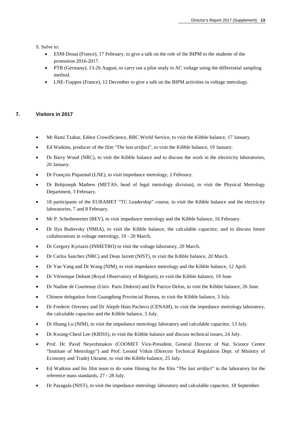S. Solve to:

- ESM-Douai (France), 17 February, to give a talk on the role of the BIPM to the students of the promotion 2016-2017.
- PTB (Germany), 13-26 August, to carry out a pilot study in AC voltage using the differential sampling method.
- LNE-Trappes (France), 12 December to give a talk on the BIPM activities in voltage metrology.

## **7. Visitors in 2017**

- Mr Rami Tzabar, Editor CrowdScience, BBC World Service, to visit the Kibble balance, 17 January.
- Ed Watkins, producer of the film "*The last artifact*", to visit the Kibble balance, 19 January.
- Dr Barry Wood (NRC), to visit the Kibble balance and to discuss the work in the electricity laboratories, 20 January.
- Dr François Piquemal (LNE), to visit impedance metrology, 2 February.
- Dr Bobjoseph Mathew (METAS, head of legal metrology division), to visit the Physical Metrology Department, 3 February.
- 18 participants of the EURAMET "TC Leadership" course, to visit the Kibble balance and the electricity laboratories, 7 and 8 February.
- Mr P. Scheibenreiter (BEV), to visit impedance metrology and the Kibble balance, 16 February.
- Dr Ilya Budovsky (NMIA), to visit the Kibble balance, the calculable capacitor, and to discuss future collaborations in voltage metrology, 19 - 20 March.
- Dr Gregory Kyriazis (INMETRO) to visit the voltage laboratory, 20 March.
- Dr Carlos Sanchez (NRC) and Dean Jarrett (NIST), to visit the Kibble balance, 20 March.
- Dr Yan Yang and Dr Wang (NIM), to visit impedance metrology and the Kibble balance, 12 April.
- Dr Véronique Dehant (Royal Observatory of Belgium), to visit the Kibble balance, 19 June.
- Dr Nadine de Courtenay (Univ. Paris Diderot) and Dr Patrice Delon, to visit the Kibble balance, 26 June.
- Chinese delegation from Guangdong Provincial Bureau, to visit the Kibble balance, 3 July.
- Dr Frederic Overney and Dr Alepth Hain Pacheco (CENAM), to visit the impedance metrology laboratory, the calculable capacitor and the Kibble balance, 5 July.
- Dr Huang Lu (NIM), to visit the impedance metrology laboratory and calculable capacitor, 13 July.
- Dr Kwang-Cheol Lee (KRISS), to visit the Kibble balance and discuss technical issues, 24 July.
- Prof. Dr. Pavel Neyezhmakov (COOMET Vice-President, General Director of Nat. Science Centre "Institute of Metrology") and Prof. Leonid Vitkin (Director Technical Regulation Dept. of Ministry of Economy and Trade) Ukraine, to visit the Kibble balance, 25 July.
- Ed Watkins and his film team to do some filming for the film "*The last artifact*" in the laboratory for the reference mass standards, 27 - 28 July.
- Dr Payagala (NIST), to visit the impedance metrology laboratory and calculable capacitor, 18 September.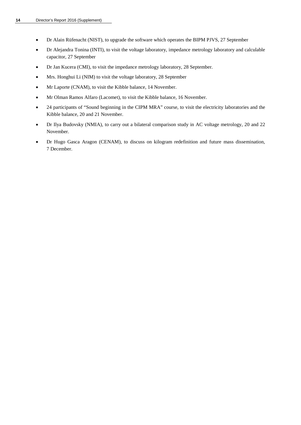- Dr Alain Rüfenacht (NIST), to upgrade the software which operates the BIPM PJVS, 27 September
- Dr Alejandra Tonina (INTI), to visit the voltage laboratory, impedance metrology laboratory and calculable capacitor, 27 September
- Dr Jan Kucera (CMI), to visit the impedance metrology laboratory, 28 September.
- Mrs. Honghui Li (NIM) to visit the voltage laboratory, 28 September
- Mr Laporte (CNAM), to visit the Kibble balance, 14 November.
- Mr Olman Ramos Alfaro (Lacomet), to visit the Kibble balance, 16 November.
- 24 participants of "Sound beginning in the CIPM MRA" course, to visit the electricity laboratories and the Kibble balance, 20 and 21 November.
- Dr Ilya Budovsky (NMIA), to carry out a bilateral comparison study in AC voltage metrology, 20 and 22 November.
- Dr Hugo Gasca Aragon (CENAM), to discuss on kilogram redefinition and future mass dissemination, 7 December.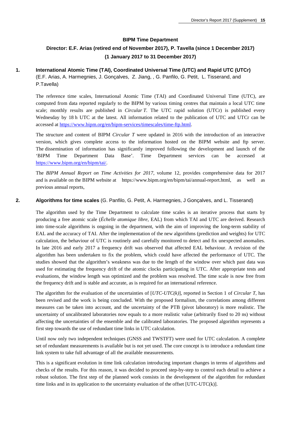## **BIPM Time Department**

## **Director: E.F. Arias (retired end of November 2017), P. Tavella (since 1 December 2017) (1 January 2017 to 31 December 2017)**

## **1. International Atomic Time (TAI), Coordinated Universal Time (UTC) and Rapid UTC (UTCr)**

(E.F. Arias, A. Harmegnies, J. Gonçalves, Z. Jiang, , G. Panfilo, G. Petit, L. Tisserand, and P.Tavella)

The reference time scales, International Atomic Time (TAI) and Coordinated Universal Time (UTC), are computed from data reported regularly to the BIPM by various timing centres that maintain a local UTC time scale; monthly results are published in *Circular T*. The UTC rapid solution (UTCr) is published every Wednesday by 18 h UTC at the latest. All information related to the publication of UTC and UTCr can be accessed at [https://www.bipm.org/en/bipm-services/timescales/time-ftp.html.](https://www.bipm.org/en/bipm-services/timescales/time-ftp.html)

The structure and content of BIPM *Circular T* were updated in 2016 with the introduction of an interactive version, which gives complete access to the information hosted on the BIPM website and ftp server. The dissemination of information has significantly improved following the development and launch of the 'BIPM Time Department Data Base'. Time Department services can be accessed at [https://www.bipm.org/en/bipm/tai/.](https://www.bipm.org/en/bipm/tai/)

The *BIPM Annual Report on Time Activities for 2017*, volume 12, provides comprehensive data for 2017 and is available on the BIPM website at https://www.bipm.org/en/bipm/tai/annual-report.html, as well as previous annual reports,

## **2. Algorithms for time scales** (G. Panfilo, G. Petit, A. Harmegnies, J Gonçalves, and L. Tisserand)

The algorithm used by the Time Department to calculate time scales is an iterative process that starts by producing a free atomic scale (*Échelle atomique libre,* EAL) from which TAI and UTC are derived. Research into time-scale algorithms is ongoing in the department, with the aim of improving the long-term stability of EAL and the accuracy of TAI. After the implementation of the new algorithms (prediction and weights) for UTC calculation, the behaviour of UTC is routinely and carefully monitored to detect and fix unexpected anomalies. In late 2016 and early 2017 a frequency drift was observed that affected EAL behaviour. A revision of the algorithm has been undertaken to fix the problem, which could have affected the performance of UTC. The studies showed that the algorithm's weakness was due to the length of the window over which past data was used for estimating the frequency drift of the atomic clocks participating in UTC. After appropriate tests and evaluations, the window length was optimized and the problem was resolved. The time scale is now free from the frequency drift and is stable and accurate, as is required for an international reference.

The algorithm for the evaluation of the uncertainties of [*UTC-UTC(k)*], reported in Section 1 of *Circular T*, has been revised and the work is being concluded. With the proposed formalism, the correlations among different measures can be taken into account, and the uncertainty of the PTB (pivot laboratory) is more realistic. The uncertainty of uncalibrated laboratories now equals to a more realistic value (arbitrarily fixed to 20 ns) without affecting the uncertainties of the ensemble and the calibrated laboratories. The proposed algorithm represents a first step towards the use of redundant time links in UTC calculation.

Until now only two independent techniques (GNSS and TWSTFT) were used for UTC calculation. A complete set of redundant measurements is available but is not yet used. The core concept is to introduce a redundant time link system to take full advantage of all the available measurements.

This is a significant evolution in time link calculation introducing important changes in terms of algorithms and checks of the results. For this reason, it was decided to proceed step-by-step to control each detail to achieve a robust solution. The first step of the planned work consists in the development of the algorithm for redundant time links and in its application to the uncertainty evaluation of the offset [UTC-UTC(k)].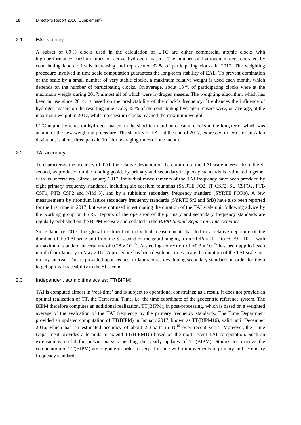#### 2.1 EAL stability

A subset of 89 % clocks used in the calculation of UTC are either commercial atomic clocks with high-performance caesium tubes or active hydrogen masers. The number of hydrogen masers operated by contributing laboratories is increasing and represented 32 % of participating clocks in 2017. The weighting procedure involved in time scale computation guarantees the long-term stability of EAL. To prevent domination of the scale by a small number of very stable clocks, a maximum relative weight is used each month, which depends on the number of participating clocks. On average, about 13 % of participating clocks were at the maximum weight during 2017; almost all of which were hydrogen masers. The weighting algorithm, which has been in use since 2014, is based on the predictability of the clock's frequency. It enhances the influence of hydrogen masers on the resulting time scale; 45 % of the contributing hydrogen masers were, on average, at the maximum weight in 2017, whilst no caesium clocks reached the maximum weight.

UTC implicitly relies on hydrogen masers in the short term and on caesium clocks in the long term, which was an aim of the new weighting procedure. The stability of EAL at the end of 2017, expressed in terms of an Allan deviation, is about three parts in  $10^{16}$  for averaging times of one month.

## 2.2 TAI accuracy

To characterize the accuracy of TAI, the relative deviation of the duration of the TAI scale interval from the SI second, as produced on the rotating geoid, by primary and secondary frequency standards is estimated together with its uncertainty. Since January 2017, individual measurements of the TAI frequency have been provided by eight primary frequency standards, including six caesium fountains (SYRTE FO2, IT CSF2, SU CSFO2, PTB CSF1, PTB CSF2 and NIM 5), and by a rubidium secondary frequency standard (SYRTE FORb). A few measurements by strontium lattice secondary frequency standards (SYRTE Sr2 and SrB) have also been reported for the first time in 2017, but were not used in estimating the duration of the TAI scale unit following advice by the working group on PSFS. Reports of the operation of the primary and secondary frequency standards are regularly published on the BIPM website and collated in the *[BIPM Annual Report on Time Activities](http://www.bipm.org/en/bipm/tai/annual-report.html)*.

Since January 2017, the global treatment of individual measurements has led to a relative departure of the duration of the TAI scale unit from the SI second on the geoid ranging from  $-1.46 \times 10^{-15}$  to  $+0.39 \times 10^{-15}$ , with a maximum standard uncertainty of  $0.28 \times 10^{-15}$ . A steering correction of  $+0.3 \times 10^{-15}$  has been applied each month from January to May 2017. A procedure has been developed to estimate the duration of the TAI scale unit on any interval. This is provided upon request to laboratories developing secondary standards in order for them to get optimal traceability to the SI second.

## 2.3 Independent atomic time scales: TT(BIPM)

TAI is computed almost in 'real-time' and is subject to operational constraints; as a result, it does not provide an optimal realization of TT, the Terrestrial Time, i.e. the time coordinate of the geocentric reference system. The BIPM therefore computes an additional realization, TT(BIPM), in post-processing, which is based on a weighted average of the evaluation of the TAI frequency by the primary frequency standards. The Time Department provided an updated computation of TT(BIPM) in January 2017, known as TT(BIPM16), valid until December 2016, which had an estimated accuracy of about 2-3 parts in  $10^{16}$  over recent years. Moreover, the Time Department provides a formula to extend TT(BIPM16) based on the most recent TAI computation. Such an extension is useful for pulsar analysis pending the yearly updates of TT(BIPM). Studies to improve the computation of TT(BIPM) are ongoing in order to keep it in line with improvements in primary and secondary frequency standards.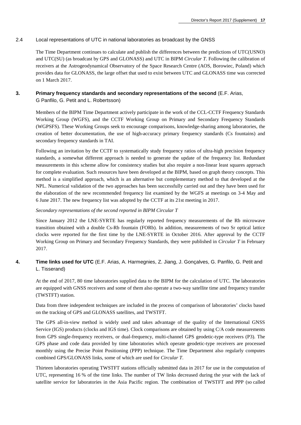## 2.4 Local representations of UTC in national laboratories as broadcast by the GNSS

The Time Department continues to calculate and publish the differences between the predictions of UTC(USNO) and UTC(SU) (as broadcast by GPS and GLONASS) and UTC in BIPM *Circular T*. Following the calibration of receivers at the Astrogeodynamical Observatory of the Space Research Centre (AOS, Borowiec, Poland) which provides data for GLONASS, the large offset that used to exist between UTC and GLONASS time was corrected on 1 March 2017.

# **3. Primary frequency standards and secondary representations of the second** (E.F. Arias,

G Panfilo, G. Petit and L. Robertsson)

Members of the BIPM Time Department actively participate in the work of the CCL-CCTF Frequency Standards Working Group (WGFS), and the CCTF Working Group on Primary and Secondary Frequency Standards (WGPSFS). These Working Groups seek to encourage comparisons, knowledge-sharing among laboratories, the creation of better documentation, the use of high-accuracy primary frequency standards (Cs fountains) and secondary frequency standards in TAI.

Following an invitation by the CCTF to systematically study frequency ratios of ultra-high precision frequency standards, a somewhat different approach is needed to generate the update of the frequency list. Redundant measurements in this scheme allow for consistency studies but also require a non-linear least squares approach for complete evaluation. Such resources have been developed at the BIPM, based on graph theory concepts. This method is a simplified approach, which is an alternative but complementary method to that developed at the NPL. Numerical validation of the two approaches has been successfully carried out and they have been used for the elaboration of the new recommended frequency list examined by the WGFS at meetings on 3-4 May and 6 June 2017. The new frequency list was adopted by the CCTF at its 21st meeting in 2017.

## *Secondary representations of the second reported in BIPM Circular T*

Since January 2012 the LNE-SYRTE has regularly reported frequency measurements of the Rb microwave transition obtained with a double Cs-Rb fountain (FORb). In addition, measurements of two Sr optical lattice clocks were reported for the first time by the LNE-SYRTE in October 2016. After approval by the CCTF Working Group on Primary and Secondary Frequency Standards, they were published in *Circular T* in February 2017.

## **4. Time links used for UTC** (E.F. Arias, A. Harmegnies, Z. Jiang, J. Gonçalves, G. Panfilo, G. Petit and L. Tisserand)

At the end of 2017, 80 time laboratories supplied data to the BIPM for the calculation of UTC. The laboratories are equipped with GNSS receivers and some of them also operate a two-way satellite time and frequency transfer (TWSTFT) station.

Data from three independent techniques are included in the process of comparison of laboratories' clocks based on the tracking of GPS and GLONASS satellites, and TWSTFT.

The GPS all-in-view method is widely used and takes advantage of the quality of the International GNSS Service (IGS) products (clocks and IGS time). Clock comparisons are obtained by using C/A code measurements from GPS single-frequency receivers, or dual-frequency, multi-channel GPS geodetic-type receivers (P3). The GPS phase and code data provided by time laboratories which operate geodetic-type receivers are processed monthly using the Precise Point Positioning (PPP) technique. The Time Department also regularly computes combined GPS/GLONASS links, some of which are used for *Circular T*.

Thirteen laboratories operating TWSTFT stations officially submitted data in 2017 for use in the computation of UTC, representing 16 % of the time links. The number of TW links decreased during the year with the lack of satellite service for laboratories in the Asia Pacific region. The combination of TWSTFT and PPP (so called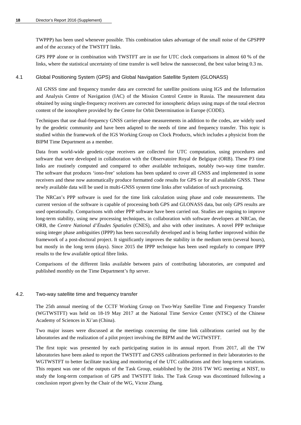TWPPP) has been used whenever possible. This combination takes advantage of the small noise of the GPSPPP and of the accuracy of the TWSTFT links.

GPS PPP alone or in combination with TWSTFT are in use for UTC clock comparisons in almost 60 % of the links, where the statistical uncertainty of time transfer is well below the nanosecond, the best value being 0.3 ns.

#### 4.1 Global Positioning System (GPS) and Global Navigation Satellite System (GLONASS)

All GNSS time and frequency transfer data are corrected for satellite positions using IGS and the Information and Analysis Centre of Navigation (IAC) of the Mission Control Centre in Russia. The measurement data obtained by using single-frequency receivers are corrected for ionospheric delays using maps of the total electron content of the ionosphere provided by the Centre for Orbit Determination in Europe (CODE).

Techniques that use dual-frequency GNSS carrier-phase measurements in addition to the codes, are widely used by the geodetic community and have been adapted to the needs of time and frequency transfer. This topic is studied within the framework of the IGS Working Group on Clock Products, which includes a physicist from the BIPM Time Department as a member.

Data from world-wide geodetic-type receivers are collected for UTC computation, using procedures and software that were developed in collaboration with the Observatoire Royal de Belgique (ORB). These P3 time links are routinely computed and compared to other available techniques, notably two-way time transfer. The software that produces 'iono-free' solutions has been updated to cover all GNSS and implemented in some receivers and these now automatically produce formatted code results for GPS or for all available GNSS. These newly available data will be used in multi-GNSS system time links after validation of such processing.

The NRCan's PPP software is used for the time link calculation using phase and code measurements. The current version of the software is capable of processing both GPS and GLONASS data, but only GPS results are used operationally. Comparisons with other PPP software have been carried out. Studies are ongoing to improve long-term stability, using new processing techniques, in collaboration with software developers at NRCan, the ORB, the *Centre National d'Études Spatiales* (CNES), and also with other institutes. A novel PPP technique using integer phase ambiguities (IPPP) has been successfully developed and is being further improved within the framework of a post-doctoral project. It significantly improves the stability in the medium term (several hours), but mostly in the long term (days). Since 2015 the IPPP technique has been used regularly to compare IPPP results to the few available optical fibre links.

Comparisons of the different links available between pairs of contributing laboratories, are computed and published monthly on the Time Department's ftp server.

#### 4.2. Two-way satellite time and frequency transfer

The 25th annual meeting of the CCTF Working Group on Two-Way Satellite Time and Frequency Transfer (WGTWSTFT) was held on 18-19 May 2017 at the National Time Service Center (NTSC) of the Chinese Academy of Sciences in Xi'an (China).

Two major issues were discussed at the meetings concerning the time link calibrations carried out by the laboratories and the realization of a pilot project involving the BIPM and the WGTWSTFT.

The first topic was presented by each participating station in its annual report. From 2017, all the TW laboratories have been asked to report the TWSTFT and GNSS calibrations performed in their laboratories to the WGTWSTFT to better facilitate tracking and monitoring of the UTC calibrations and their long-term variations. This request was one of the outputs of the Task Group, established by the 2016 TW WG meeting at NIST, to study the long-term comparison of GPS and TWSTFT links. The Task Group was discontinued following a conclusion report given by the Chair of the WG, Victor Zhang.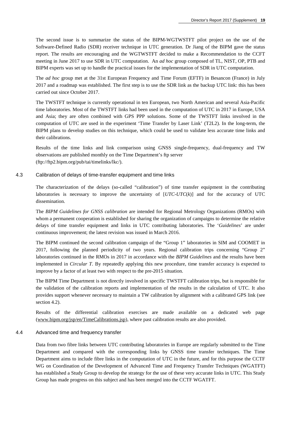The second issue is to summarize the status of the BIPM-WGTWSTFT pilot project on the use of the Software-Defined Radio (SDR) receiver technique in UTC generation. Dr Jiang of the BIPM gave the status report. The results are encouraging and the WGTWSTFT decided to make a Recommendation to the CCFT meeting in June 2017 to use SDR in UTC computation. An *ad hoc* group composed of TL, NIST, OP, PTB and BIPM experts was set up to handle the practical issues for the implementation of SDR in UTC computation.

The *ad hoc* group met at the 31st European Frequency and Time Forum (EFTF) in Besancon (France) in July 2017 and a roadmap was established. The first step is to use the SDR link as the backup UTC link: this has been carried out since October 2017.

The TWSTFT technique is currently operational in ten European, two North American and several Asia-Pacific time laboratories. Most of the TWSTFT links had been used in the computation of UTC in 2017 in Europe, USA and Asia; they are often combined with GPS PPP solutions. Some of the TWSTFT links involved in the computation of UTC are used in the experiment 'Time Transfer by Laser Link' (T2L2). In the long-term, the BIPM plans to develop studies on this technique, which could be used to validate less accurate time links and their calibrations.

Results of the time links and link comparison using GNSS single-frequency, dual-frequency and TW observations are published monthly on the Time Department's ftp server [\(ftp://ftp2.bipm.org/pub/tai/timelinks/lkc/\)](ftp://ftp2.bipm.org/pub/tai/timelinks/lkc/).

#### 4.3 Calibration of delays of time-transfer equipment and time links

The characterization of the delays (so-called "calibration") of time transfer equipment in the contributing laboratories is necessary to improve the uncertainty of [*UTC*-*UTC*(*k*)] and for the accuracy of UTC dissemination.

The *BIPM Guidelines for GNSS calibration* are intended for Regional Metrology Organizations (RMOs) with whom a permanent cooperation is established for sharing the organization of campaigns to determine the relative delays of time transfer equipment and links in UTC contributing laboratories. The '*Guidelines*' are under continuous improvement; the latest revision was issued in March 2016.

The BIPM continued the second calibration campaign of the "Group 1" laboratories in SIM and COOMET in 2017, following the planned periodicity of two years. Regional calibration trips concerning "Group 2" laboratories continued in the RMOs in 2017 in accordance with the *BIPM Guidelines* and the results have been implemented in *Circular T*. By repeatedly applying this new procedure, time transfer accuracy is expected to improve by a factor of at least two with respect to the pre-2015 situation.

The BIPM Time Department is not directly involved in specific TWSTFT calibration trips, but is responsible for the validation of the calibration reports and implementation of the results in the calculation of UTC. It also provides support whenever necessary to maintain a TW calibration by alignment with a calibrated GPS link (see section 4.2).

Results of the differential calibration exercises are made available on a dedicated web page [\(www.bipm.org/jsp/en/TimeCalibrations.jsp\)](http://www.bipm.org/jsp/en/TimeCalibrations.jsp), where past calibration results are also provided.

#### 4.4 Advanced time and frequency transfer

Data from two fibre links between UTC contributing laboratories in Europe are regularly submitted to the Time Department and compared with the corresponding links by GNSS time transfer techniques. The Time Department aims to include fibre links in the computation of UTC in the future, and for this purpose the CCTF WG on Coordination of the Development of Advanced Time and Frequency Transfer Techniques (WGATFT) has established a Study Group to develop the strategy for the use of these very accurate links in UTC. This Study Group has made progress on this subject and has been merged into the CCTF WGATFT.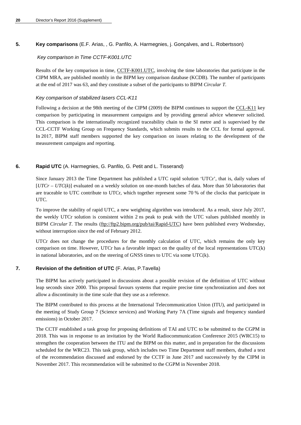## **5. Key comparisons** (E.F. Arias, , G. Panfilo, A. Harmegnies, j. Gonçalves, and L. Robertsson)

## *Key comparison in Time CCTF-K001.UTC*

Results of the key comparison in time, [CCTF-K001.UTC,](http://kcdb.bipm.org/appendixB/KCDB_ApB_info.asp?cmp_idy=617&cmp_cod=CCTF-K001.UTC&prov=exalead) involving the time laboratories that participate in the CIPM MRA, are published monthly in the BIPM key comparison database (KCDB). The number of participants at the end of 2017 was 63, and they constitute a subset of the participants to BIPM *Circular T*.

## *Key comparison of stabilized lasers CCL-K11*

Following a decision at the 98th meeting of the CIPM (2009) the BIPM continues to support the [CCL-K11](http://kcdb.bipm.org/appendixB/KCDB_ApB_info.asp?cmp_idy=913&cmp_cod=CCL-K11&page=2&search=2&cmp_cod_search=CCL&met_idy=&bra_idy=&epo_idy=&cmt_idy=&ett_idy_org=&lab_idy=&cou_cod=) key comparison by participating in measurement campaigns and by providing general advice whenever solicited. This comparison is the internationally recognized traceability chain to the SI metre and is supervised by the CCL-CCTF Working Group on Frequency Standards, which submits results to the CCL for formal approval. In 2017, BIPM staff members supported the key comparison on issues relating to the development of the measurement campaigns and reporting.

## **6. Rapid UTC** (A. Harmegnies, G. Panfilo, G. Petit and L. Tisserand)

Since January 2013 the Time Department has published a UTC rapid solution 'UTCr', that is, daily values of [*UTCr* – *UTC*(*k*)] evaluated on a weekly solution on one-month batches of data. More than 50 laboratories that are traceable to UTC contribute to UTCr, which together represent some 70 % of the clocks that participate in UTC.

To improve the stability of rapid UTC, a new weighting algorithm was introduced. As a result, since July 2017, the weekly UTCr solution is consistent within 2 ns peak to peak with the UTC values published monthly in BIPM *Circular T*. The results [\(ftp://ftp2.bipm.org/pub/tai/Rapid-UTC\)](ftp://ftp2.bipm.org/pub/tai/Rapid-UTC) have been published every Wednesday, without interruption since the end of February 2012.

UTCr does not change the procedures for the monthly calculation of UTC, which remains the only key comparison on time. However, UTCr has a favorable impact on the quality of the local representations UTC(k) in national laboratories, and on the steering of GNSS times to UTC via some UTC(k).

## **7. Revision of the definition of UTC** (F. Arias, P.Tavella)

The BIPM has actively participated in discussions about a possible revision of the definition of UTC without leap seconds since 2000. This proposal favours systems that require precise time synchronization and does not allow a discontinuity in the time scale that they use as a reference.

The BIPM contributed to this process at the International Telecommunication Union (ITU), and participated in the meeting of Study Group 7 (Science services) and Working Party 7A (Time signals and frequency standard emissions) in October 2017.

The CCTF established a task group for proposing definitions of TAI and UTC to be submitted to the CGPM in 2018. This was in response to an invitation by the World Radiocommunication Conference 2015 (WRC15) to strengthen the cooperation between the ITU and the BIPM on this matter, and in preparation for the discussions scheduled for the WRC23. This task group, which includes two Time Department staff members, drafted a text of the recommendation discussed and endorsed by the CCTF in June 2017 and successively by the CIPM in November 2017. This recommendation will be submitted to the CGPM in November 2018.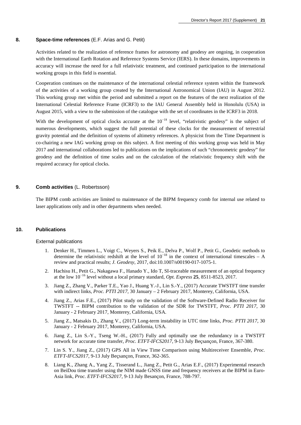#### **8. Space-time references** (E.F. Arias and G. Petit)

Activities related to the realization of reference frames for astronomy and geodesy are ongoing, in cooperation with the International Earth Rotation and Reference Systems Service (IERS). In these domains, improvements in accuracy will increase the need for a full relativistic treatment, and continued participation to the international working groups in this field is essential.

Cooperation continues on the maintenance of the international celestial reference system within the framework of the activities of a working group created by the International Astronomical Union (IAU) in August 2012. This working group met within the period and submitted a report on the features of the next realization of the International Celestial Reference Frame (ICRF3) to the IAU General Assembly held in Honolulu (USA) in August 2015, with a view to the submission of the catalogue with the set of coordinates in the ICRF3 in 2018.

With the development of optical clocks accurate at the 10<sup>-18</sup> level, "relativistic geodesy" is the subject of numerous developments, which suggest the full potential of these clocks for the measurement of terrestrial gravity potential and the definition of systems of altimetry references. A physicist from the Time Department is co-chairing a new IAG working group on this subject. A first meeting of this working group was held in May 2017 and international collaborations led to publications on the implications of such "chronometric geodesy" for geodesy and the definition of time scales and on the calculation of the relativistic frequency shift with the required accuracy for optical clocks.

#### **9. Comb activities** (L. Robertsson)

The BIPM comb activities are limited to maintenance of the BIPM frequency comb for internal use related to laser applications only and in other departments when needed.

#### **10. Publications**

#### External publications

- 1. Denker H., Timmen L., Voigt C., Weyers S., Peik E., Delva P., Wolf P., Petit G., Geodetic methods to determine the relativistic redshift at the level of  $10^{-18}$  in the context of international timescales – A review and practical results; *J. Geodesy*, 2017, doi:10.1007/s00190-017-1075-1.
- 2. Hachisu H., Petit G., Nakagawa F., Hanado Y., Ido T, SI-traceable measurement of an optical frequency at the low 10<sup>−</sup><sup>16</sup> level without a local primary standard, *Opt. Express* **25**, 8511-8523, 2017.
- 3. Jiang Z., Zhang V., Parker T.E., Yao J., Huang Y.-J., Lin S.-Y., (2017) Accurate TWSTFT time transfer with indirect links, *Proc. PTTI 2017*, 30 January – 2 February 2017, Monterey, California, USA.
- 4. Jiang Z., Arias F.E., (2017) Pilot study on the validation of the Software-Defined Radio Receiver for TWSTFT -- BIPM contribution to the validation of the SDR for TWSTFT, *Proc. PTTI 2017*, 30 January - 2 February 2017, Monterey, California, USA.
- 5. Jiang Z., Matsakis D., Zhang V., (2017) Long-term instability in UTC time links, *Proc. PTTI 2017*, 30 January - 2 February 2017, Monterey, California, USA.
- 6. Jiang Z., Lin S.-Y., Tseng W.-H., (2017) Fully and optimally use the redundancy in a TWSTFT network for accurate time transfer, *Proc. ETFT-IFCS2017*, 9-13 July Beçsançon, France, 367-380.
- 7. Lin S. Y., Jiang Z., (2017) GPS All in View Time Comparison using Multireceiver Ensemble, *Proc. ETFT-IFCS2017*, 9-13 July Beçsançon, France, 362-365.
- 8. Liang K., Zhang A., Yang Z., Tisserand L., Jiang Z., Petit G., Arias E.F., (2017) Experimental research on BeiDou time transfer using the NIM made GNSS time and frequency receivers at the BIPM in Euro-Asia link, *Proc. ETFT-IFCS2017*, 9-13 July Besançon, France, 788-797.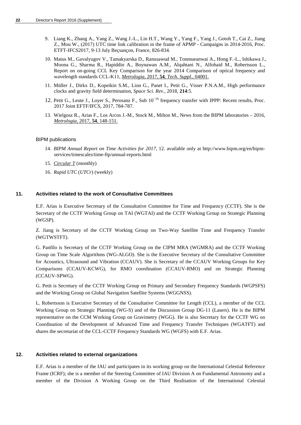- 9. Liang K., Zhang A., Yang Z., Wang J.-L., Lin H.T., Wang Y., Yang F., Yang J., Gotoh T., Cai Z., Jiang Z., Mou W., (2017) UTC time link calibration in the frame of APMP - Campaigns in 2014-2016, Proc. ETFT-IFCS2017, 9-13 July Beçsançon, France, 826-834.
- 10. Matus M., Gavalyugov V., Tamakyarska D., Ranusawud M., Tonmueanwai A., Hong F.-L., Ishikawa J., Moona G., Sharma R., Hapiddin A., Boynawan A.M., Alqahtani N., Alfohaid M., Robertsson L., Report on on-going CCL Key Comparison for the year 2014 Comparison of optical frequency and wavelength standards CCL-K11, *Metrologia,* 2017, **54**, *[Tech. Suppl.,](http://stacks.iop.org/0026-1394/54/04001)* 04001.
- 11. Müller J., Dirkx D., Kopeikin S.M., Lion G., Panet I., Petit G., Visser P.N.A.M., High performance clocks and gravity field determination, *Space Sci. Rev.*, 2018, **214**:5.
- 12. Petit G., Leute J., Loyer S., Perosanz F., Sub 10<sup>−16</sup> frequency transfer with IPPP: Recent results, Proc. 2017 Joint EFTF/IFCS, 2017, 784-787.
- 13. Wielgosz R., Arias F., Los Arcos J.-M., Stock M., Milton M., News from the BIPM laboratories 2016, *[Metrologia,](http://stacks.iop.org/0026-1394/53/103)* 2017, **54**, 148-151.

#### BIPM publications

- 14. *BIPM Annual Report on Time Activities for 2017*, 12. available only at http://www.bipm.org/en/bipmservices/timescales/time-ftp/annual-reports.html
- 15. *[Circular T](http://www.bipm.org/jsp/en/TimeFtp.jsp?TypePub=publication)* (monthly)
- 16. *Rapid UTC* (*UTCr*) (weekly)

#### **11. Activities related to the work of Consultative Committees**

E.F. Arias is Executive Secretary of the Consultative Committee for Time and Frequency (CCTF). She is the Secretary of the CCTF Working Group on TAI (WGTAI) and the CCTF Working Group on Strategic Planning (WGSP).

Z. Jiang is Secretary of the CCTF Working Group on Two-Way Satellite Time and Frequency Transfer (WGTWSTFT).

G. Panfilo is Secretary of the CCTF Working Group on the CIPM MRA (WGMRA) and the CCTF Working Group on Time Scale Algorithms (WG-ALGO). She is the Executive Secretary of the Consultative Committee for Acoustics, Ultrasound and Vibration (CCAUV). She is Secretary of the CCAUV Working Groups for Key Comparisons (CCAUV-KCWG), for RMO coordination (CCAUV-RMO) and on Strategic Planning (CCAUV-SPWG).

G. Petit is Secretary of the CCTF Working Group on Primary and Secondary Frequency Standards (WGPSFS) and the Working Group on Global Navigation Satellite Systems (WGGNSS).

L. Robertsson is Executive Secretary of the Consultative Committee for Length (CCL), a member of the CCL Working Group on Strategic Planning (WG-S) and of the Discussion Group DG-11 (Lasers). He is the BIPM representative on the CCM Working Group on Gravimetry (WGG). He is also Secretary for the CCTF WG on Coordination of the Development of Advanced Time and Frequency Transfer Techniques (WGATFT) and shares the secretariat of the CCL-CCTF Frequency Standards WG (WGFS) with E.F. Arias.

#### **12. Activities related to external organizations**

E.F. Arias is a member of the IAU and participates in its working group on the International Celestial Reference Frame (ICRF); she is a member of the Steering Committee of IAU Division A on Fundamental Astronomy and a member of the Division A Working Group on the Third Realisation of the International Celestial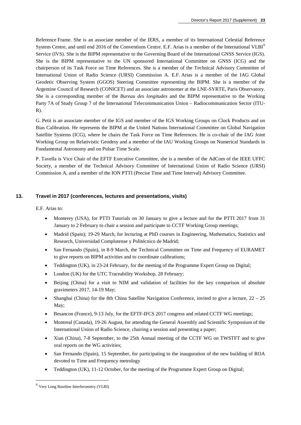Reference Frame. She is an associate member of the IERS, a member of its International Celestial Reference System Centre, and until end 201[6](#page-23-0) of the Conventions Centre. E.F. Arias is a member of the International VLBI<sup>6</sup> Service (IVS). She is the BIPM representative to the Governing Board of the International GNSS Service (IGS). She is the BIPM representative to the UN sponsored International Committee on GNSS (ICG) and the chairperson of its Task Force on Time References. She is a member of the Technical Advisory Committee of International Union of Radio Science (URSI) Commission A. E.F. Arias is a member of the IAG Global Geodetic Observing System (GGOS) Steering Committee representing the BIPM. She is a member of the Argentine Council of Research (CONICET) and an associate astronomer at the LNE-SYRTE, Paris Observatory. She is a corresponding member of the *Bureau des longitudes* and the BIPM representative to the Working Party 7A of Study Group 7 of the International Telecommunication Union – Radiocommunication Sector (ITU- $R$ ).

G. Petit is an associate member of the IGS and member of the IGS Working Groups on Clock Products and on Bias Calibration. He represents the BIPM at the United Nations International Committee on Global Navigation Satellite Systems (ICG), where he chairs the Task Force on Time References. He is co-chair of the IAG Joint Working Group on Relativistic Geodesy and a member of the IAU Working Groups on Numerical Standards in Fundamental Astronomy and on Pulsar Time Scale.

P. Tavella is Vice Chair of the EFTF Executive Committee, she is a member of the AdCom of the IEEE UFFC Society, a member of the Technical Advisory Committee of International Union of Radio Science (URSI) Commission A, and a member of the ION PTTI (Precise Time and Time Interval) Advisory Committee.

## **13. Travel in 2017 (conferences, lectures and presentations, visits)**

E.F. Arias to:

- Monterey (USA), for PTTI Tutorials on 30 January to give a lecture and for the PTTI 2017 from 31 January to 2 February to chair a session and participate to CCTF Working Group meetings;
- Madrid (Spain); 19-29 March, for lecturing at PhD courses in Engineering, Mathematics, Statistics and Research, Universidad Complutense y Politécnico de Madrid;
- San Fernando (Spain), in 8-9 March, the Technical Committee on Time and Frequency of EURAMET to give reports on BIPM activities and to coordinate calibrations;
- Teddington (UK), in 23-24 February, for the meeting of the Programme Expert Group on Digital;
- London (UK) for the UTC Traceability Workshop, 28 February;
- Beijing (China) for a visit to NIM and validation of facilities for the key comparison of absolute gravimeters 2017, 14-19 May;
- Shanghai (China) for the 8th China Satellite Navigation Conference, invited to give a lecture,  $22 25$ May;
- Besancon (France), 9-13 July, for the EFTF-IFCS 2017 congress and related CCTF WG meetings;
- Montreal (Canada), 19-26 August, for attending the General Assembly and Scientific Symposium of the International Union of Radio Science, chairing a session and presenting a paper;
- Xian (China), 7-8 September, to the 25th Annual meeting of the CCTF WG on TWSTFT and to give oral reports on the WG activities;
- San Fernando (Spain), 15 September, for participating to the inauguration of the new building of ROA devoted to Time and Frequency metrology
- Teddington (UK), 11-12 October, for the meeting of the Programme Expert Group on Digital;

<span id="page-23-0"></span> <sup>6</sup> Very Long Baseline Interferometry (VLBI)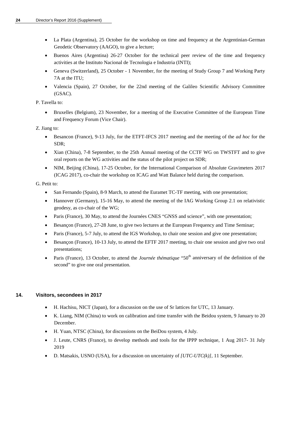- La Plata (Argentina), 25 October for the workshop on time and frequency at the Argentinian-German Geodetic Observatory (AAGO), to give a lecture;
- Buenos Aires (Argentina) 26-27 October for the technical peer review of the time and frequency activities at the Instituto Nacional de Tecnologia e Industria (INTI);
- Geneva (Switzerland), 25 October 1 November, for the meeting of Study Group 7 and Working Party 7A at the ITU;
- Valencia (Spain), 27 October, for the 22nd meeting of the Galileo Scientific Advisory Committee (GSAC).

P. Tavella to:

• Bruxelles (Belgium), 23 November, for a meeting of the Executive Committee of the European Time and Frequency Forum (Vice Chair).

Z. Jiang to:

- Besancon (France), 9-13 July, for the ETFT-IFCS 2017 meeting and the meeting of the *ad hoc* for the SDR;
- Xian (China), 7-8 September, to the 25th Annual meeting of the CCTF WG on TWSTFT and to give oral reports on the WG activities and the status of the pilot project on SDR;
- NIM, Beijing (China), 17-25 October, for the International Comparison of Absolute Gravimeters 2017 (ICAG 2017), co-chair the workshop on ICAG and Watt Balance held during the comparison.

G. Petit to:

- San Fernando (Spain), 8-9 March, to attend the Euramet TC-TF meeting, with one presentation;
- Hannover (Germany), 15-16 May, to attend the meeting of the IAG Working Group 2.1 on relativistic geodesy, as co-chair of the WG;
- Paris (France), 30 May, to attend the Journées CNES "GNSS and science", with one presentation;
- Besançon (France), 27-28 June, to give two lectures at the European Frequency and Time Seminar;
- Paris (France), 5-7 July, to attend the IGS Workshop, to chair one session and give one presentation;
- Besançon (France), 10-13 July, to attend the EFTF 2017 meeting, to chair one session and give two oral presentations;
- Paris (France), 13 October, to attend the *Journée thématique* "50<sup>th</sup> anniversary of the definition of the second" to give one oral presentation.

## **14. Visitors, secondees in 2017**

- H. Hachisu, NICT (Japan), for a discussion on the use of Sr lattices for UTC, 13 January.
- K. Liang, NIM (China) to work on calibration and time transfer with the Beidou system, 9 January to 20 December.
- H. Yuan, NTSC (China), for discussions on the BeiDou system, 4 July.
- J. Leute, CNRS (France), to develop methods and tools for the IPPP technique, 1 Aug 2017- 31 July 2019
- D. Matsakis, USNO (USA), for a discussion on uncertainty of *[UTC-UTC(k)],* 11 September.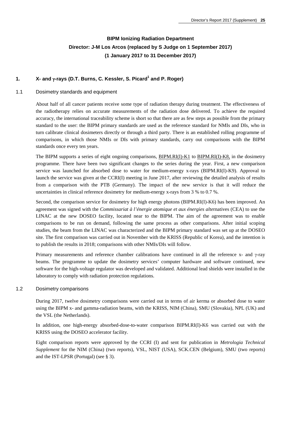## **BIPM Ionizing Radiation Department Director: J-M Los Arcos (replaced by S Judge on 1 September 2017) (1 January 2017 to 31 December 2017)**

## **1. X- and** γ**-rays (D.T. Burns, C. Kessler, S. Picard<sup>1</sup> and P. Roger)**

## 1.1 Dosimetry standards and equipment

About half of all cancer patients receive some type of radiation therapy during treatment. The effectiveness of the radiotherapy relies on accurate measurements of the radiation dose delivered. To achieve the required accuracy, the international traceability scheme is short so that there are as few steps as possible from the primary standard to the user: the BIPM primary standards are used as the reference standard for NMIs and DIs, who in turn calibrate clinical dosimeters directly or through a third party. There is an established rolling programme of comparisons, in which those NMIs or DIs with primary standards, carry out comparisons with the BIPM standards once every ten years.

The BIPM supports a series of eight ongoing comparisons, [BIPM.RI\(I\)-K1](http://kcdb.bipm.org/appendixB/KCDB_ApB_info.asp?cmp_idy=371&cmp_cod=BIPM.RI(I)-K1&prov=exalead) to [BIPM.RI\(I\)-K8,](http://kcdb.bipm.org/appendixB/KCDB_ApB_info.asp?cmp_idy=1057&cmp_cod=BIPM.RI(I)-K8&prov=exalead) in the dosimetry programme. There have been two significant changes to the series during the year. First, a new comparison service was launched for absorbed dose to water for medium-energy x-rays (BIPM.RI(I)-K9). Approval to launch the service was given at the CCRI(I) meeting in June 2017, after reviewing the detailed analysis of results from a comparison with the PTB (Germany). The impact of the new service is that it will reduce the uncertainties in clinical reference dosimetry for medium-energy x-rays from 3 % to 0.7 %.

Second, the comparison service for dosimetry for high energy photons (BIPM.RI(I)-K6) has been improved. An agreement was signed with the *Commissariat à l'énergie atomique et aux énergies alte*rnatives (CEA) to use the LINAC at the new DOSEO facility, located near to the BIPM. The aim of the agreement was to enable comparisons to be run on demand, following the same process as other comparisons. After initial scoping studies, the beam from the LINAC was characterized and the BIPM primary standard was set up at the DOSEO site. The first comparison was carried out in November with the KRISS (Republic of Korea), and the intention is to publish the results in 2018; comparisons with other NMIs/DIs will follow.

Primary measurements and reference chamber calibrations have continued in all the reference x- and γ-ray beams. The programme to update the dosimetry services' computer hardware and software continued, new software for the high-voltage regulator was developed and validated. Additional lead shields were installed in the laboratory to comply with radiation protection regulations.

#### 1.2 Dosimetry comparisons

During 2017, twelve dosimetry comparisons were carried out in terms of air kerma or absorbed dose to water using the BIPM x- and gamma-radiation beams, with the KRISS, NIM (China), SMU (Slovakia), NPL (UK) and the VSL (the Netherlands).

In addition, one high-energy absorbed-dose-to-water comparison BIPM.RI(I)-K6 was carried out with the KRISS using the DOSEO accelerator facility.

Eight comparison reports were approved by the CCRI (I) and sent for publication in *Metrologia Technical Supplement* for the NIM (China) (two reports), VSL, NIST (USA), SCK.CEN (Belgium), SMU (two reports) and the IST-LPSR (Portugal) (see § 3).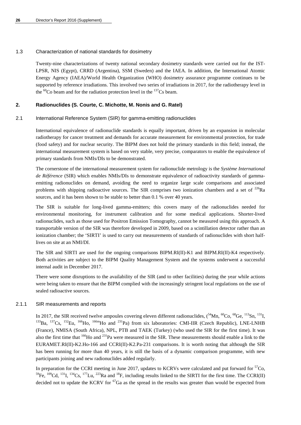## 1.3 Characterization of national standards for dosimetry

Twenty-nine characterizations of twenty national secondary dosimetry standards were carried out for the IST-LPSR, NIS (Egypt), CRRD (Argentina), SSM (Sweden) and the IAEA. In addition, the International Atomic Energy Agency (IAEA)/World Health Organization (WHO) dosimetry assurance programme continues to be supported by reference irradiations. This involved two series of irradiations in 2017, for the radiotherapy level in the  ${}^{60}$ Co beam and for the radiation protection level in the  ${}^{137}$ Cs beam.

## **2. Radionuclides (S. Courte, C. Michotte, M. Nonis and G. Ratel)**

## 2.1 International Reference System (SIR) for gamma-emitting radionuclides

International equivalence of radionuclide standards is equally important, driven by an expansion in molecular radiotherapy for cancer treatment and demands for accurate measurement for environmental protection, for trade (food safety) and for nuclear security. The BIPM does not hold the primary standards in this field; instead, the international measurement system is based on very stable, very precise, comparators to enable the equivalence of primary standards from NMIs/DIs to be demonstrated.

The cornerstone of the international measurement system for radionuclide metrology is the *Système International de Référence* (SIR) which enables NMIs/DIs to demonstrate equivalence of radioactivity standards of gammaemitting radionuclides on demand, avoiding the need to organize large scale comparisons and associated problems with shipping radioactive sources. The SIR comprises two ionization chambers and a set of  $^{226}$ Ra sources, and it has been shown to be stable to better than 0.1 % over 40 years.

The SIR is suitable for long-lived gamma-emitters; this covers many of the radionuclides needed for environmental monitoring, for instrument calibration and for some medical applications. Shorter-lived radionuclides, such as those used for Positron Emission Tomography, cannot be measured using this approach. A transportable version of the SIR was therefore developed in 2009, based on a scintillation detector rather than an ionization chamber; the 'SIRTI' is used to carry out measurements of standards of radionuclides with short halflives on site at an NMI/DI.

The SIR and SIRTI are used for the ongoing comparisons BIPM.RI(II)-K1 and BIPM.RI(II)-K4 respectively. Both activities are subject to the BIPM Quality Management System and the systems underwent a successful internal audit in December 2017.

There were some disruptions to the availability of the SIR (and to other facilities) during the year while actions were being taken to ensure that the BIPM complied with the increasingly stringent local regulations on the use of sealed radioactive sources.

## 2.1.1 SIR measurements and reports

In 2017, the SIR received twelve ampoules covering eleven different radionuclides,  $(^{54}$ Mn,  $^{60}$ Co,  $^{68}$ Ge,  $^{113}$ Sn,  $^{131}$ I,  $^{133}$ Ba,  $^{137}$ Cs,  $^{152}$ Eu,  $^{166}$ Ho,  $^{166}$ Ho and  $^{231}$ Pa) from six laborato (France), NMISA (South Africa), NPL, PTB and TAEK (Turkey) (who used the SIR for the first time). It was also the first time that <sup>166</sup>Ho and <sup>231</sup>Pa were measured in the SIR. These measurements should enable a link to the EURAMET.RI(II)-K2.Ho-166 and CCRI(II)-K2.Pa-231 comparisons. It is worth noting that although the SIR has been running for more than 40 years, it is still the basis of a dynamic comparison programme, with new participants joining and new radionuclides added regularly.

In preparation for the CCRI meeting in June 2017, updates to KCRVs were calculated and put forward for  ${}^{57}Co$ .  $^{59}$ Fe,  $^{109}$ Cd,  $^{131}$ I,  $^{134}$ Cs,  $^{177}$ Lu,  $^{223}$ Ra and  $^{18}$ F, including results linked to the SIRTI for the first time. The CCRI(II) decided not to update the KCRV for  ${}^{67}Ga$  as the spread in the results was greater than would be expected from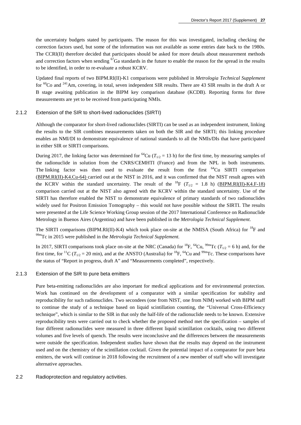the uncertainty budgets stated by participants. The reason for this was investigated, including checking the correction factors used, but some of the information was not available as some entries date back to the 1980s. The CCRI(II) therefore decided that participates should be asked for more details about measurement methods and correction factors when sending  ${}^{67}Ga$  standards in the future to enable the reason for the spread in the results to be identified, in order to re-evaluate a robust KCRV.

Updated final reports of two BIPM.RI(II)-K1 comparisons were published in *Metrologia Technical Supplement* for <sup>60</sup>Co and <sup>241</sup>Am, covering, in total, seven independent SIR results. There are 43 SIR results in the draft A or B stage awaiting publication in the BIPM key comparison database (KCDB). Reporting forms for three measurements are yet to be received from participating NMIs.

#### 2.1.2 Extension of the SIR to short-lived radionuclides (SIRTI)

Although the comparator for short-lived radionuclides (SIRTI) can be used as an independent instrument, linking the results to the SIR combines measurements taken on both the SIR and the SIRTI; this linking procedure enables an NMI/DI to demonstrate equivalence of national standards to all the NMIs/DIs that have participated in either SIR or SIRTI comparisons.

During 2017, the linking factor was determined for <sup>64</sup>Cu ( $T_{1/2}$  = 13 h) for the first time, by measuring samples of the radionuclide in solution from the CNRS/CEMHTI (France) and from the NPL in both instruments. The linking factor was then used to evaluate the result from the first  $^{64}Cu$  SIRTI comparison [\(BIPM.RI\(II\)-K4.Cu-64\)](http://kcdb.bipm.org/appendixB/KCDB_ApB_info.asp?cmp_idy=1520&cmp_cod=BIPM.RI(II)-K4.Cu-64&prov=exalead) carried out at the NIST in 2016, and it was confirmed that the NIST result agrees with the KCRV within the standard uncertainty. The result of the <sup>18</sup>F ( $T_{1/2}$  = 1.8 h) [\(BIPM.RI\(II\)-K4.F-18\)](http://kcdb.bipm.org/appendixB/KCDB_ApB_info.asp?cmp_idy=1422&cmp_cod=BIPM.RI%28II%29-K4.F-18&prov=exalead) comparison carried out at the NIST also agreed with the KCRV within the standard uncertainty. Use of the SIRTI has therefore enabled the NIST to demonstrate equivalence of primary standards of two radionuclides widely used for Positron Emission Tomography – this would not have possible without the SIRTI. The results were presented at the Life Science Working Group session of the 2017 International Conference on Radionuclide Metrology in Buenos Aires (Argentina) and have been published in the *Metrologia Technical Supplement*.

The SIRTI comparisons (BIPM.RI(II)-K4) which took place on-site at the NMISA (South Africa) for <sup>18</sup>F and <sup>99m</sup>Tc in 2015 were published in the *Metrologia Technical Supplement*.

In 2017, SIRTI comparisons took place on-site at the NRC (Canada) for <sup>18</sup>F, <sup>64</sup>Cu, <sup>99m</sup>Tc ( $T_{1/2} = 6$  h) and, for the first time, for <sup>11</sup>C ( $T_{1/2}$  = 20 min), and at the ANSTO (Australia) for <sup>18</sup>F, <sup>64</sup>Cu and <sup>99m</sup>Tc. These comparisons have the status of "Report in progress, draft A" and "Measurements completed", respectively.

#### 2.1.3 Extension of the SIR to pure beta emitters

Pure beta-emitting radionuclides are also important for medical applications and for environmental protection. Work has continued on the development of a comparator with a similar specification for stability and reproducibility for such radionuclides. Two secondees (one from NIST, one from NIM) worked with BIPM staff to continue the study of a technique based on liquid scintillation counting, the "Universal Cross-Efficiency technique", which is similar to the SIR in that only the half-life of the radionuclide needs to be known. Extensive reproducibility tests were carried out to check whether the proposed method met the specification – samples of four different radionuclides were measured in three different liquid scintillation cocktails, using two different volumes and five levels of quench. The results were inconclusive and the differences between the measurements were outside the specification. Independent studies have shown that the results may depend on the instrument used and on the chemistry of the scintillation cocktail. Given the potential impact of a comparator for pure beta emitters, the work will continue in 2018 following the recruitment of a new member of staff who will investigate alternative approaches.

#### 2.2 Radioprotection and regulatory activities.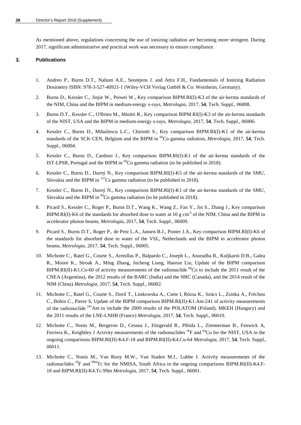As mentioned above, regulations concerning the use of ionizing radiation are becoming more stringent. During 2017, significant administrative and practical work was necessary to ensure compliance.

## **3. Publications**

- 1. Andreo P., Burns D.T., Nahum A.E., Seuntjens J. and Attix F.H., Fundamentals of Ionizing Radiation Dosimetry ISBN: 978-3-527-40921-1 (Wiley-VCH Verlag GmbH & Co: Weinheim, Germany).
- 2. Burns D., Kessler C., Jinjie W., Peiwei W., Key comparison BIPM.RI(I)-K3 of the air-kerma standards of the NIM, China and the BIPM in medium-energy x-rays, *Metrologia*, 2017, **54**, Tech. Suppl., 06008.
- 3. Burns D.T., Kessler C., O'Brien M., Minitti R., Key comparison BIPM.RI(I)-K3 of the air-kerma standards of the NIST, USA and the BIPM in medium-energy x-rays, *Metrologia*, 2017, **54**, Tech. Suppl., 06006.
- 4. Kessler C., Burns D., Mihailescu L.C., Chiriotti S., Key comparison BIPM.RI(I)-K1 of the air-kerma standards of the SCK·CEN, Belgium and the BIPM in <sup>60</sup>Co gamma radiation, *Metrologia*, 2017, **54**, Tech. Suppl., 06004.
- 5. Kessler C., Burns D., Cardoso J., Key comparison BIPM.RI(I)-K1 of the air-kerma standards of the IST-LPSR, Portugal and the BIPM in 60Co gamma radiation (to be published in 2018).
- 6. Kessler C., Burns D., Durný N., Key comparison BIPM.RI(I)-K5 of the air-kerma standards of the SMU, Slovakia and the BIPM in  $^{137}Cs$  gamma radiation (to be published in 2018).
- 7. Kessler C., Burns D., Durný N., Key comparison BIPM.RI(I)-K1 of the air-kerma standards of the SMU, Slovakia and the BIPM in  ${}^{60}Co$  gamma radiation (to be published in 2018).
- 8. Picard S., Kessler C., Roger P., Burns D.T., Wang K., Wang Z., Fan Y., Jin S., Zhang J., Key comparison BIPM.RI(I)-K6 of the standards for absorbed dose to water at 10 g cm<sup>-2</sup> of the NIM, China and the BIPM in accelerator photon beams, *Metrologia*, 2017, **54**, Tech. Suppl., 06009.
- 9. Picard S., Burns D.T., Roger P., de Prez L.A., Jansen B.J., Pooter J.A., Key comparison BIPM.RI(I)-K6 of the standards for absorbed dose to water of the VSL, Netherlands and the BIPM in accelerator photon beams, *Metrologia*, 2017, **54**, Tech. Suppl., 06005.
- 10. Michotte C., Ratel G., Courte S., Arenillas P., Balpardo C., Joseph L., Anuradha R., Kuljkarni D.B., Galea R., Moore K., Stroak A., Ming Zhang, Jucheng Liang, Haoran Liu, Update of the BIPM comparison BIPM.RI(II)-K1.Co-60 of activity measurements of the radionuclide  ${}^{60}$ Co to include the 2011 result of the CNEA (Argentina), the 2012 results of the BARC (India) and the NRC (Canada), and the 2014 result of the NIM (China) *Metrologia,* 2017, **54**, Tech. Suppl., 06002.
- 11. Michotte C., Ratel G., Courte S., Dzeil T., Listkowska A., Csete I, Rózsa K., Szücs L., Zsinka A., Fréchou C., Bobin C., Pierre S, Update of the BIPM comparison BIPM.RI(II)-K1.Am-241 of activity measurements of the radionuclide <sup>241</sup>Am to include the 2009 results of the POLATOM (Poland), MKEH (Hungary) and the 2011 results of the LNE-LNHB (France) *Metrologia,* 2017, **54**, Tech. Suppl., 06010.
- 12. Michotte C., Nonis M., Bergeron D., Cessna J., Fitzgerald R., Pibida L., Zimmerman B., Fenwick A, Ferriera K., Keightley J Activity measurements of the radionuclides  ${}^{18}F$  and  ${}^{64}Cu$  for the NIST, USA in the ongoing comparisons BIPM.RI(II)-K4.F-18 and BIPM.RI(II)-K4.Cu-64 *Metrologia,* 2017, **54**, Tech. Suppl., 06011.
- 13. Michotte C., Nonis M., Van Rooy M.W., Van Staden M.J., Lubbe J. Activity measurements of the radionuclides  $^{18}F$  and  $^{99m}Tc$  for the NMISA, South Africa in the ongoing comparisons BIPM.RI(II)-K4.F-18 and BIPM.RI(II)-K4.Tc-99m *Metrologia,* 2017, **54**, Tech. Suppl., 06001.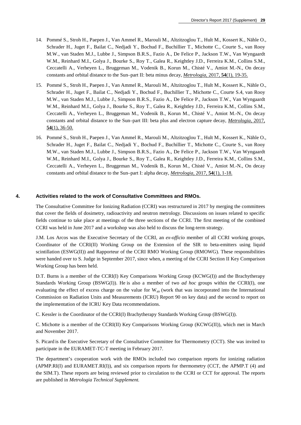- 14. Pommé S., Stroh H., Paepen J., Van Ammel R., Marouli M., Altzitzoglou T., Hult M., Kossert K., Nähle O., Schrader H., Juget F., Bailat C., Nedjadi Y., Bochud F., Buchillier T., Michotte C., Courte S., van Rooy M.W., van Staden M.J., Lubbe J., Simpson B.R.S., Fazio A., De Felice P., Jackson T.W., Van Wyngaardt W.M., Reinhard M.I., Golya J., Bourke S., Roy T., Galea R., Keightley J.D., Ferreira K.M., Collins S.M., Ceccatelli A., Verheyen L., Bruggeman M., Vodenik B., Korun M., Chisté V., Amiot M.-N., On decay constants and orbital distance to the Sun–part II: beta minus decay, *[Metrologia,](http://stacks.iop.org/0026-1394/54/19)* 2017, **54**(1), 19-35.
- 15. Pommé S., Stroh H., Paepen J., Van Ammel R., Marouli M., Altzitzoglou T., Hult M., Kossert K., Nähle O., Schrader H., Juget F., Bailat C., Nedjadi Y., Bochud F., Buchillier T., Michotte C., Courte S.4, van Rooy M.W., van Staden M.J., Lubbe J., Simpson B.R.S., Fazio A., De Felice P., Jackson T.W., Van Wyngaardt W.M., Reinhard M.I., Golya J., Bourke S., Roy T., Galea R., Keightley J.D., Ferreira K.M., Collins S.M., Ceccatelli A., Verheyen L., Bruggeman M., Vodenik B., Korun M., Chisté V., Amiot M.-N., On decay constants and orbital distance to the Sun–part III: beta plus and electron capture decay, *[Metrologia,](http://stacks.iop.org/0026-1394/54/36)* 2017, **54**[\(1\), 36-50.](http://stacks.iop.org/0026-1394/54/36)
- 16. Pommé S., Stroh H., Paepen J., Van Ammel R., Marouli M., Altzitzoglou T., Hult M., Kossert K., Nähle O., Schrader H., Juget F., Bailat C., Nedjadi Y., Bochud F., Buchillier T., Michotte C., Courte S., van Rooy M.W., van Staden M.J., Lubbe J., Simpson B.R.S., Fazio A., De Felice P., Jackson T.W., Van Wyngaardt W.M., Reinhard M.I., Golya J., Bourke S., Roy T., Galea R., Keightley J.D., Ferreira K.M., Collins S.M., Ceccatelli A., Verheyen L., Bruggeman M., Vodenik B., Korun M., Chisté V., Amiot M.-N., On decay constants and orbital distance to the Sun–part I: alpha decay, *[Metrologia,](http://stacks.iop.org/0026-1394/54/1)* 2017, **54**(1), 1-18.

## **4. Activities related to the work of Consultative Committees and RMOs.**

The Consultative Committee for Ionizing Radiation (CCRI) was restructured in 2017 by merging the committees that cover the fields of dosimetry, radioactivity and neutron metrology. Discussions on issues related to specific fields continue to take place at meetings of the three sections of the CCRI. The first meeting of the combined CCRI was held in June 2017 and a workshop was also held to discuss the long-term strategy.

J.M. Los Arcos was the Executive Secretary of the CCRI, an *ex-officio* member of all CCRI working groups, Coordinator of the CCRI(II) Working Group on the Extension of the SIR to beta-emitters using liquid scintillation (ESWG(II)) and Rapporteur of the CCRI RMO Working Group (RMOWG). These responsibilities were handed over to S. Judge in September 2017, since when, a meeting of the CCRI Section II Key Comparison Working Group has been held.

D.T. Burns is a member of the CCRI(I) Key Comparisons Working Group (KCWG(I)) and the Brachytherapy Standards Working Group (BSWG(I)). He is also a member of two *ad hoc* groups within the CCRI(I), one evaluating the effect of excess charge on the value for W<sub>air</sub> (work that was incorporated into the International Commission on Radiation Units and Measurements (ICRU) Report 90 on key data) and the second to report on the implementation of the ICRU Key Data recommendations.

C. Kessler is the Coordinator of the CCRI(I) Brachytherapy Standards Working Group (BSWG(I)).

C. Michotte is a member of the CCRI(II) Key Comparisons Working Group (KCWG(II)), which met in March and November 2017.

S. Picard is the Executive Secretary of the Consultative Committee for Thermometry (CCT). She was invited to participate in the EURAMET-TC-T meeting in February 2017.

The department's cooperation work with the RMOs included two comparison reports for ionizing radiation (APMP.RI(I) and EURAMET.RI(I)), and six comparison reports for thermometry (CCT, the APMP.T (4) and the SIM.T). These reports are being reviewed prior to circulation to the CCRI or CCT for approval. The reports are published in *Metrologia Technical Supplement.*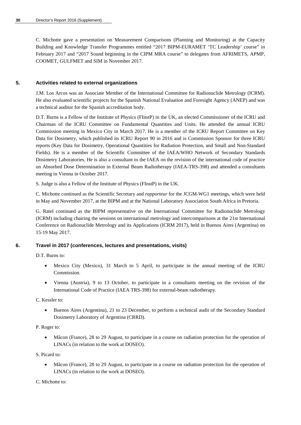C. Michotte gave a presentation on Measurement Comparisons (Planning and Monitoring) at the Capacity Building and Knowledge Transfer Programmes entitled "2017 BIPM-EURAMET 'TC Leadership' course" in February 2017 and "2017 Sound beginning in the CIPM MRA course" to delegates from AFRIMETS, APMP, COOMET, GULFMET and SIM in November 2017.

## **5. Activities related to external organizations**

J.M. Los Arcos was an Associate Member of the International Committee for Radionuclide Metrology (ICRM). He also evaluated scientific projects for the Spanish National Evaluation and Foresight Agency (ANEP) and was a technical auditor for the Spanish accreditation body.

D.T. Burns is a Fellow of the Institute of Physics (FInstP) in the UK, an elected Commissioner of the ICRU and Chairman of the ICRU Committee on Fundamental Quantities and Units. He attended the annual ICRU Commission meeting in Mexico City in March 2017. He is a member of the ICRU Report Committee on Key Data for Dosimetry, which published its ICRU Report 90 in 2016 and is Commission Sponsor for three ICRU reports (Key Data for Dosimetry, Operational Quantities for Radiation Protection, and Small and Non-Standard Fields). He is a member of the Scientific Committee of the IAEA/WHO Network of Secondary Standards Dosimetry Laboratories. He is also a consultant to the IAEA on the revision of the international code of practice on Absorbed Dose Determination in External Beam Radiotherapy (IAEA-TRS-398) and attended a consultants meeting in Vienna in October 2017.

S. Judge is also a Fellow of the Institute of Physics (FInstP) in the UK.

C. Michotte continued as the Scientific Secretary and *rapporteur* for the JCGM-WG1 meetings, which were held in May and November 2017, at the BIPM and at the National Laboratory Association South Africa in Pretoria.

G. Ratel continued as the BIPM representative on the International Committee for Radionuclide Metrology (ICRM) including chairing the sessions on international metrology and intercomparisons at the 21st International Conference on Radionuclide Metrology and its Applications (ICRM 2017), held in Buenos Aires (Argentina) on 15-19 May 2017.

## **6. Travel in 2017 (conferences, lectures and presentations, visits)**

D.T. Burns to:

- Mexico City (Mexico), 31 March to 5 April, to participate in the annual meeting of the ICRU Commission.
- Vienna (Austria), 9 to 13 October, to participate in a consultants meeting on the revision of the International Code of Practice (IAEA TRS-398) for external-beam radiotherapy.

C. Kessler to:

• Buenos Aires (Argentina), 21 to 23 December, to perform a technical audit of the Secondary Standard Dosimetry Laboratory of Argentina (CRRD).

P. Roger to:

• Mâcon (France), 28 to 29 August, to participate in a course on radiation protection for the operation of LINACs (in relation to the work at DOSEO).

S. Picard to:

• Mâcon (France), 28 to 29 August, to participate in a course on radiation protection for the operation of LINACs (in relation to the work at DOSEO).

C. Michotte to: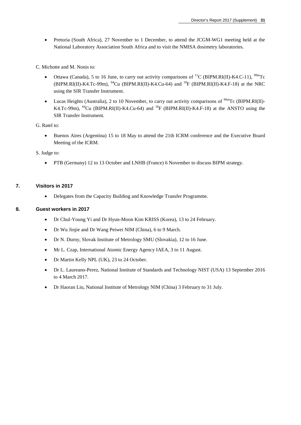• Pretoria (South Africa), 27 November to 1 December, to attend the JCGM-WG1 meeting held at the National Laboratory Association South Africa and to visit the NMISA dosimetry laboratories.

C. Michotte and M. Nonis to:

- Ottawa (Canada), 5 to 16 June, to carry out activity comparisons of <sup>11</sup>C (BIPM.RI(II)-K4.C-11), <sup>99m</sup>Tc (BIPM.RI(II)-K4.Tc-99m),  $^{64}$ Cu (BIPM.RI(II)-K4.Cu-64) and  $^{18}$ F (BIPM.RI(II)-K4.F-18) at the NRC using the SIR Transfer Instrument.
- Lucas Heights (Australia), 2 to 10 November, to carry out activity comparisons of  $\frac{99 \text{m}}{\text{C}}$  (BIPM.RI(II)-K4.Tc-99m), <sup>64</sup>Cu (BIPM.RI(II)-K4.Cu-64) and <sup>18</sup>F (BIPM.RI(II)-K4.F-18) at the ANSTO using the SIR Transfer Instrument.

G. Ratel to:

- Buenos Aires (Argentina) 15 to 18 May to attend the 21th ICRM conference and the Executive Board Meeting of the ICRM.
- S. Judge to:
	- PTB (Germany) 12 to 13 October and LNHB (France) 6 November to discuss BIPM strategy.

## **7. Visitors in 2017**

• Delegates from the Capacity Building and Knowledge Transfer Programme.

## **8. Guest workers in 2017**

- Dr Chul-Young Yi and Dr Hyun-Moon Kim KRISS (Korea), 13 to 24 February.
- Dr Wu Jinjie and Dr Wang Peiwei NIM (China), 6 to 9 March.
- Dr N. Durny, Slovak Institute of Metrology SMU (Slovakia), 12 to 16 June.
- Mr L. Czap, International Atomic Energy Agency IAEA, 3 to 11 August.
- Dr Martin Kelly NPL (UK), 23 to 24 October.
- Dr L. Laureano-Perez, National Institute of Standards and Technology NIST (USA) 13 September 2016 to 4 March 2017.
- Dr Haoran Liu, National Institute of Metrology NIM (China) 3 February to 31 July.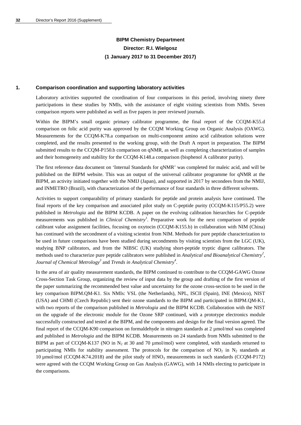## **BIPM Chemistry Department Director: R.I. Wielgosz (1 January 2017 to 31 December 2017)**

#### **1. Comparison coordination and supporting laboratory activities**

Laboratory activities supported the coordination of four comparisons in this period, involving ninety three participations in these studies by NMIs, with the assistance of eight visiting scientists from NMIs. Seven comparison reports were published as well as five papers in peer reviewed journals.

Within the BIPM's small organic primary calibrator programme, the final report of the CCQM-K55.d comparison on folic acid purity was approved by the CCQM Working Group on Organic Analysis (OAWG). Measurements for the CCQM-K78.a comparison on multi-component amino acid calibration solutions were completed, and the results presented to the working group, with the Draft A report in preparation. The BIPM submitted results to the CCQM-P150.b comparison on qNMR, as well as completing characterization of samples and their homogeneity and stability for the CCQM-K148.a comparison (bisphenol A calibrator purity).

The first reference data document on 'Internal Standards for qNMR' was completed for maleic acid, and will be published on the BIPM website. This was an output of the universal calibrator programme for qNMR at the BIPM, an activity initiated together with the NMIJ (Japan), and supported in 2017 by secondees from the NMIJ, and INMETRO (Brazil), with characterization of the performance of four standards in three different solvents.

Activities to support comparability of primary standards for peptide and protein analysis have continued. The final reports of the key comparison and associated pilot study on C-peptide purity (CCQM-K115/P55.2) were published in *Metrologia* and the BIPM KCDB. A paper on the evolving calibration hierarchies for C-peptide measurements was published in *Clinical Chemistry<sup>1</sup>* . Preparative work for the next comparison of peptide calibrant value assignment facilities, focusing on oxytocin (CCQM-K155.b) in collaboration with NIM (China) has continued with the secondment of a visiting scientist from NIM. Methods for pure peptide characterization to be used in future comparisons have been studied during secondments by visiting scientists from the LGC (UK), studying BNP calibrators, and from the NIBSC (UK) studying short-peptide tryptic digest calibrators. The methods used to characterize pure peptide calibrators were published in *Analytical and Bioanalytical Chemistry2* , *Journal of Chemical Metrology<sup>3</sup>* and *Trends in Analytical Chemistry<sup>4</sup>* .

In the area of air quality measurement standards, the BIPM continued to contribute to the CCQM-GAWG Ozone Cross-Section Task Group, organizing the review of input data by the group and drafting of the first version of the paper summarizing the recommended best value and uncertainty for the ozone cross-section to be used in the key comparison BIPM.QM-K1. Six NMIs: VSL (the Netherlands), NPL, ISCII (Spain), INE (Mexico), NIST (USA) and CHMI (Czech Republic) sent their ozone standards to the BIPM and participated in BIPM.QM-K1, with two reports of the comparison published in *Metrologia* and the BIPM KCDB. Collaboration with the NIST on the upgrade of the electronic module for the Ozone SRP continued, with a prototype electronics module successfully constructed and tested at the BIPM, and the components and design for the final version agreed. The final report of the CCQM-K90 comparison on formaldehyde in nitrogen standards at 2 µmol/mol was completed and published in *Metrologia* and the BIPM KCDB. Measurements on 24 standards from NMIs submitted to the BIPM as part of CCQM-K137 (NO in  $N_2$  at 30 and 70 µmol/mol) were completed, with standards returned to participating NMIs for stability assessment. The protocols for the comparison of  $NO<sub>2</sub>$  in  $N<sub>2</sub>$  standards at 10  $\mu$ mol/mol (CCQM-K74.2018) and the pilot study of HNO<sub>3</sub> measurements in such standards (CCQM-P172) were agreed with the CCQM Working Group on Gas Analysis (GAWG), with 14 NMIs electing to participate in the comparisons.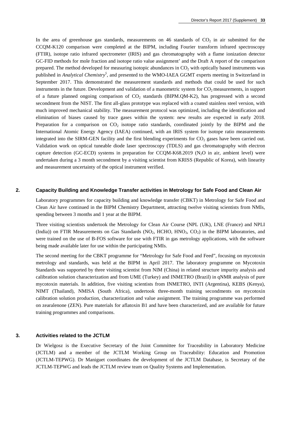In the area of greenhouse gas standards, measurements on 46 standards of  $CO<sub>2</sub>$  in air submitted for the CCQM-K120 comparison were completed at the BIPM, including Fourier transform infrared spectroscopy (FTIR), isotope ratio infrared spectrometer (IRIS) and gas chromatography with a flame ionization detector GC-FID methods for mole fraction and isotope ratio value assignment' and the Draft A report of the comparison prepared. The method developed for measuring isotopic abundances in  $CO<sub>2</sub>$  with optically based instruments was published in *Analytical Chemistry<sup>5</sup>* , and presented to the WMO-IAEA GGMT experts meeting in Switzerland in September 2017. This demonstrated the measurement standards and methods that could be used for such instruments in the future. Development and validation of a manometric system for  $CO<sub>2</sub>$  measurements, in support of a future planned ongoing comparison of CO<sub>2</sub> standards (BIPM.QM-K2), has progressed with a second secondment from the NIST. The first all-glass prototype was replaced with a coated stainless steel version, with much improved mechanical stability. The measurement protocol was optimized, including the identification and elimination of biases caused by trace gases within the system: new results are expected in early 2018. Preparation for a comparison on  $CO<sub>2</sub>$  isotope ratio standards, coordinated jointly by the BIPM and the International Atomic Energy Agency (IAEA) continued, with an IRIS system for isotope ratio measurements integrated into the SIRM-GEN facility and the first blending experiments for  $CO<sub>2</sub>$  gases have been carried out. Validation work on optical tuneable diode laser spectroscopy (TDLS) and gas chromatography with electron capture detection (GC-ECD) systems in preparation for CCQM-K68.2019 ( $N_2$ O in air, ambient level) were undertaken during a 3 month secondment by a visiting scientist from KRISS (Republic of Korea), with linearity and measurement uncertainty of the optical instrument verified.

#### **2. Capacity Building and Knowledge Transfer activities in Metrology for Safe Food and Clean Air**

Laboratory programmes for capacity building and knowledge transfer (CBKT) in Metrology for Safe Food and Clean Air have continued in the BIPM Chemistry Department, attracting twelve visiting scientists from NMIs, spending between 3 months and 1 year at the BIPM.

Three visiting scientists undertook the Metrology for Clean Air Course (NPL (UK), LNE (France) and NPLI (India)) on FTIR Measurements on Gas Standards (NO<sub>2</sub>, HCHO, HNO<sub>3</sub>, CO<sub>2</sub>) in the BIPM laboratories, and were trained on the use of B-FOS software for use with FTIR in gas metrology applications, with the software being made available later for use within the participating NMIs.

The second meeting for the CBKT programme for "Metrology for Safe Food and Feed", focusing on mycotoxin metrology and standards, was held at the BIPM in April 2017. The laboratory programme on Mycotoxin Standards was supported by three visiting scientist from NIM (China) in related structure impurity analysis and calibration solution characterization and from UME (Turkey) and INMETRO (Brazil) in qNMR analysis of pure mycotoxin materials. In addition, five visiting scientists from INMETRO, INTI (Argentina), KEBS (Kenya), NIMT (Thailand), NMISA (South Africa), undertook three-month training secondments on mycotoxin calibration solution production, characterization and value assignment. The training programme was performed on zearalenone (ZEN). Pure materials for aflatoxin B1 and have been characterized, and are available for future training programmes and comparisons.

#### **3. Activities related to the JCTLM**

Dr Wielgosz is the Executive Secretary of the Joint Committee for Traceability in Laboratory Medicine (JCTLM) and a member of the JCTLM Working Group on Traceability: Education and Promotion (JCTLM-TEPWG). Dr Maniguet coordinates the development of the JCTLM Database, is Secretary of the JCTLM-TEPWG and leads the JCTLM review team on Quality Systems and Implementation.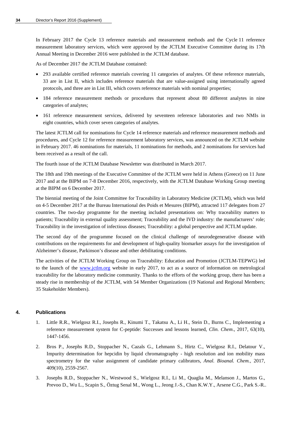In February 2017 the Cycle 13 reference materials and measurement methods and the Cycle 11 reference measurement laboratory services, which were approved by the JCTLM Executive Committee during its 17th Annual Meeting in December 2016 were published in the JCTLM database.

As of December 2017 the JCTLM Database contained:

- 293 available certified reference materials covering 11 categories of analytes. Of these reference materials, 33 are in List II, which includes reference materials that are value-assigned using internationally agreed protocols, and three are in List III, which covers reference materials with nominal properties;
- 184 reference measurement methods or procedures that represent about 80 different analytes in nine categories of analytes;
- 161 reference measurement services, delivered by seventeen reference laboratories and two NMIs in eight countries, which cover seven categories of analytes.

The latest JCTLM call for nominations for Cycle 14 reference materials and reference measurement methods and procedures, and Cycle 12 for reference measurement laboratory services, was announced on the JCTLM website in February 2017. 46 nominations for materials, 11 nominations for methods, and 2 nominations for services had been received as a result of the call.

The fourth issue of the JCTLM Database Newsletter was distributed in March 2017.

The 18th and 19th meetings of the Executive Committee of the JCTLM were held in Athens (Greece) on 11 June 2017 and at the BIPM on 7-8 December 2016, respectively, with the JCTLM Database Working Group meeting at the BIPM on 6 December 2017.

The biennial meeting of the Joint Committee for Traceability in Laboratory Medicine (JCTLM), which was held on 4-5 December 2017 at the Bureau International des Poids et Mesures (BIPM), attracted 117 delegates from 27 countries. The two-day programme for the meeting included presentations on: Why traceability matters to patients; Traceability in external quality assessment; Traceability and the IVD industry: the manufacturers' role; Traceability in the investigation of infectious diseases; Traceability: a global perspective and JCTLM update.

The second day of the programme focused on the clinical challenge of neurodegenerative disease with contributions on the requirements for and development of high-quality biomarker assays for the investigation of Alzheimer's disease, Parkinson's disease and other debilitating conditions.

The activities of the JCTLM Working Group on Traceability: Education and Promotion (JCTLM-TEPWG) led to the launch of the [www.jctlm.org](http://www.jctlm.org/) website in early 2017, to act as a source of information on metrological traceability for the laboratory medicine community. Thanks to the efforts of the working group, there has been a steady rise in membership of the JCTLM, with 54 Member Organizations (19 National and Regional Members; 35 Stakeholder Members).

## **4. Publications**

- 1. Little R.R., Wielgosz R.I., Josephs R., Kinumi T., Takatsu A., Li H., Stein D., Burns C., Implementing a reference measurement system for C-peptide: Successes and lessons learned, *Clin. Chem*., 2017, 63(10), 1447-1456.
- 2. Bros P., Josephs R.D., Stoppacher N., Cazals G., Lehmann S., Hirtz C., Wielgosz R.I., Delatour V., Impurity determination for hepcidin by liquid chromatography - high resolution and ion mobility mass spectrometry for the value assignment of candidate primary calibrators, *Anal. Bioanal. Chem.,* 2017, 409(10), 2559-2567.
- 3. Josephs R.D., Stoppacher N., Westwood S., Wielgosz R.I., Li M., Quaglia M., Melanson J., Martos G., Prevoo D., Wu L., Scapin S., Öztug Senal M., Wong L., Jeong J.-S., Chan K.W.Y., Arsene C.G., Park S.-R..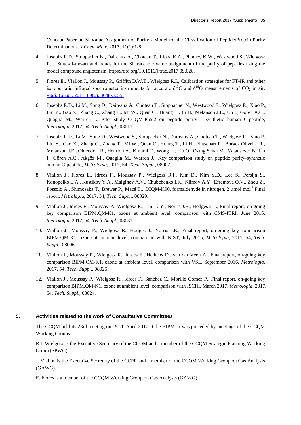Concept Paper on SI Value Assignment of Purity - Model for the Classification of Peptide/Protein Purity Determinations. *J Chem Metr*. 2017; 11(1):1-8.

- 4. Josephs R.D., Stoppacher N., Daireaux A., Choteau T., Lippa K.A., Phinney K.W., Westwood S., Wielgosz R.I., State-of-the-art and trends for the SI traceable value assignment of the purity of peptides using the model compound angiotensin, https://doi.org/10.1016/j.trac.2017.09.026.
- 5. Flores E., Viallon J., Moussay P., Griffith D.W.T., Wielgosz R.I., Calibration strategies for FT-IR and other isotope ratio infrared spectrometer instruments for accurate  $\delta^{13}$ C and  $\delta^{18}$ O measurements of CO<sub>2</sub> in air, *Anal. Chem.,* [2017, 89\(6\), 3648-3655.](http://dx.doi.org/10.1021/acs.analchem.6b05063)
- 6. Josephs R.D., Li M., Song D., Daireaux A., Choteau T., Stoppacher N., Westwood S., Wielgosz R., Xiao P., Liu Y., Gao X., Zhang C., Zhang T., Mi W., Quan C., Huang T., Li H., Melanson J.E., Ün I., Gören A.C., Quaglia M., Warren J., Pilot study CCQM-P55.2 on peptide purity – synthetic human C-peptide, *Metrologia*, 2017, 54, *Tech. Suppl*., 08011.
- 7. Josephs R.D., Li M., Song D., Westwood S., Stoppacher N., Daireaux A., Choteau T., Wielgosz R., Xiao P., Liu Y., Gao X., Zhang C., Zhang T., Mi W., Quan C., Huang T., Li H., Flatschart R., Borges Oliveira R., Melanson J.E., Ohlendorf R., Henrion A., Kinumi T., Wong L., Liu Q., Oztug Senal M., Vatansever B., Ün I., Gören A.C., Akgöz M., Quaglia M., Warren J., Key comparison study on peptide purity–synthetic human C-peptide, *Metrologia*, 2017, 54, *Tech. Suppl*., 08007.
- 8. Viallon J., Flores E., Idrees F., Moussay P., Wielgosz R.I., Kim D., Kim Y.D., Lee S., Persijn S., Konopelko L.A., Kustikov Y.A., Malginov A.V., Chubchenko I.K., Klimov A.Y., Efremova O.V., Zhou Z., Possolo A., Shimosaka T., Brewer P., Macé T., CCQM-K90, formaldehyde in nitrogen, 2  $\mu$ mol mol<sup>-1</sup> Final report, *Metrologia*, 2017, 54, *Tech. Suppl*., 08029.
- 9. Viallon J., Idrees F., Moussay P., Wielgosz R., Lin T.-Y., Norris J.E., Hodges J.T., Final report, on-going key comparison BIPM.QM-K1, ozone at ambient level, comparison with CMS-ITRI, June 2016, *Metrologia*, 2017, 54, *Tech. Suppl*., 08031.
- 10. Viallon J., Moussay P., Wielgosz R., Hodges J., Norris J.E., Final report, on-going key comparison BIPM.QM-K1, ozone at ambient level, comparison with NIST, July 2015, *Metrologia*, 2017, 54, *Tech. Suppl*., 08006.
- 11. Viallon J., Moussay P., Wielgosz R., Idrees F., Heikens D., van der Veen A., Final report, on-going key comparison BIPM.QM-K1, ozone at ambient level, comparison with VSL, September 2016, *Metrologia*, 2017, 54, *Tech. Suppl*., 08025.
- 12. Viallon J., Moussay P., Wielgosz R., Idrees F., Sanchez C., Morillo Gomez P., Final report, on-going key comparison BIPM.QM-K1, ozone at ambient level, comparison with ISCIII, March 2017, *Metrologia*, 2017, 54, *Tech. Suppl*., 08024.

## **5. Activities related to the work of Consultative Committees**

The CCQM held its 23rd meeting on 19-20 April 2017 at the BIPM. It was preceded by meetings of the CCQM Working Groups.

R.I. Wielgosz is the Executive Secretary of the CCQM and a member of the CCQM Strategic Planning Working Group (SPWG).

J. Viallon is the Executive Secretary of the CCPR and a member of the CCQM Working Group on Gas Analysis (GAWG).

E. Flores is a member of the CCQM Working Group on Gas Analysis (GAWG).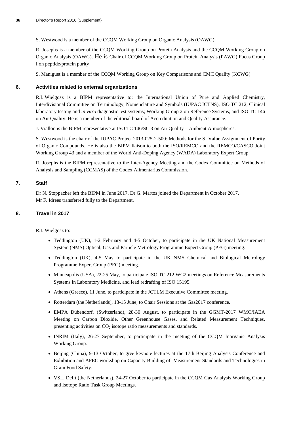S. Westwood is a member of the CCQM Working Group on Organic Analysis (OAWG).

R. Josephs is a member of the CCQM Working Group on Protein Analysis and the CCQM Working Group on Organic Analysis (OAWG). He is Chair of CCQM Working Group on Protein Analysis (PAWG) Focus Group I on peptide/protein purity

S. Maniguet is a member of the CCQM Working Group on Key Comparisons and CMC Quality (KCWG).

## **6. Activities related to external organizations**

R.I. Wielgosz is a BIPM representative to: the International Union of Pure and Applied Chemistry, Interdivisional Committee on Terminology, Nomenclature and Symbols (IUPAC ICTNS); ISO TC 212, Clinical laboratory testing and *in vitro* diagnostic test systems; Working Group 2 on Reference Systems; and ISO TC 146 on Air Quality. He is a member of the editorial board of Accreditation and Quality Assurance.

J. Viallon is the BIPM representative at ISO TC 146/SC 3 on Air Quality – Ambient Atmospheres.

S. Westwood is the chair of the IUPAC Project 2013-025-2-500: Methods for the SI Value Assignment of Purity of Organic Compounds. He is also the BIPM liaison to both the ISO/REMCO and the REMCO/CASCO Joint Working Group 43 and a member of the World Anti-Doping Agency (WADA) Laboratory Expert Group.

R. Josephs is the BIPM representative to the Inter-Agency Meeting and the Codex Committee on Methods of Analysis and Sampling (CCMAS) of the Codex Alimentarius Commission.

## **7. Staff**

Dr N. Stoppacher left the BIPM in June 2017. Dr G. Martos joined the Department in October 2017. Mr F. Idrees transferred fully to the Department.

## **8. Travel in 2017**

R.I. Wielgosz to:

- Teddington (UK), 1-2 February and 4-5 October, to participate in the UK National Measurement System (NMS) Optical, Gas and Particle Metrology Programme Expert Group (PEG) meeting.
- Teddington (UK), 4-5 May to participate in the UK NMS Chemical and Biological Metrology Programme Expert Group (PEG) meeting.
- Minneapolis (USA), 22-25 May, to participate ISO TC 212 WG2 meetings on Reference Measurements Systems in Laboratory Medicine, and lead redrafting of ISO 15195.
- Athens (Greece), 11 June, to participate in the JCTLM Executive Committee meeting.
- Rotterdam (the Netherlands), 13-15 June, to Chair Sessions at the Gas2017 conference.
- EMPA Dübendorf, (Switzerland), 28-30 August, to participate in the GGMT-2017 WMO/IAEA Meeting on Carbon Dioxide, Other Greenhouse Gases, and Related Measurement Techniques, presenting activities on  $CO<sub>2</sub>$  isotope ratio measurements and standards.
- INRIM (Italy), 26-27 September, to participate in the meeting of the CCQM Inorganic Analysis Working Group.
- Beijing (China), 9-13 October, to give keynote lectures at the 17th Beijing Analysis Conference and Exhibition and APEC workshop on Capacity Building of Measurement Standards and Technologies in Grain Food Safety.
- VSL, Delft (the Netherlands), 24-27 October to participate in the CCQM Gas Analysis Working Group and Isotope Ratio Task Group Meetings.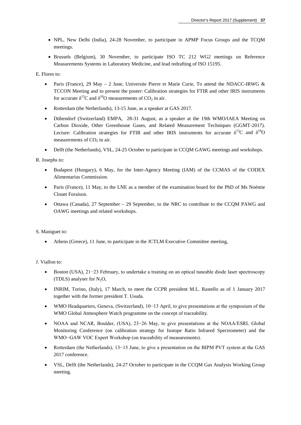- NPL, New Delhi (India), 24-28 November, to participate in APMP Focus Groups and the TCQM meetings.
- Brussels (Belgium), 30 November, to participate ISO TC 212 WG2 meetings on Reference Measurements Systems in Laboratory Medicine, and lead redrafting of ISO 15195.

E. Flores to:

- Paris (France), 29 May 2 June, Universite Pierre et Marie Curie, To attend the NDACC-IRWG & TCCON Meeting and to present the poster: Calibration strategies for FTIR and other IRIS instruments for accurate  $\delta^{13}$ C and  $\delta^{18}$ O measurements of CO<sub>2</sub> in air.
- Rotterdam (the Netherlands), 13-15 June, as a speaker at GAS 2017.
- Dübendorf (Switzerland) EMPA, 28-31 August, as a speaker at the 19th WMO/IAEA Meeting on Carbon Dioxide, Other Greenhouse Gases, and Related Measurement Techniques (GGMT-2017). Lecture: Calibration strategies for FTIR and other IRIS instruments for accurate  $\delta^{13}C$  and  $\delta^{18}O$ measurements of  $CO<sub>2</sub>$  in air.
- Delft (the Netherlands), VSL, 24-25 October to participate in CCQM GAWG meetings and workshops.

R. Josephs to:

- Budapest (Hungary), 6 May, for the Inter-Agency Meeting (IAM) of the CCMAS of the CODEX Alimentarius Commission.
- Paris (France), 11 May, to the LNE as a member of the examination board for the PhD of Ms Noémie Clouet Foraison.
- Ottawa (Canada), 27 September 29 September, to the NRC to contribute to the CCQM PAWG and OAWG meetings and related workshops.

S. Maniguet to:

Athens (Greece), 11 June, to participate in the JCTLM Executive Committee meeting,

J. Viallon to:

- Boston (USA), 21−23 February, to undertake a training on an optical tuneable diode laser spectroscopy (TDLS) analyser for  $N_2O$ ,
- INRIM, Torino, (Italy), 17 March, to meet the CCPR president M.L. Rastello as of 1 January 2017 together with the former president T. Usuda.
- WMO Headquarters, Geneva, (Switzerland), 10−13 April, to give presentations at the symposium of the WMO Global Atmosphere Watch programme on the concept of traceability.
- NOAA and NCAR, Boulder, (USA), 23−26 May, to give presentations at the NOAA/ESRL Global Monitoring Conference (on calibration strategy for Isotope Ratio Infrared Spectrometer) and the WMO−GAW VOC Expert Workshop (on traceability of measurements).
- Rotterdam (the Netherlands), 13−15 June, to give a presentation on the BIPM PVT system at the GAS 2017 conference.
- VSL, Delft (the Netherlands), 24-27 October to participate in the CCQM Gas Analysis Working Group meeting.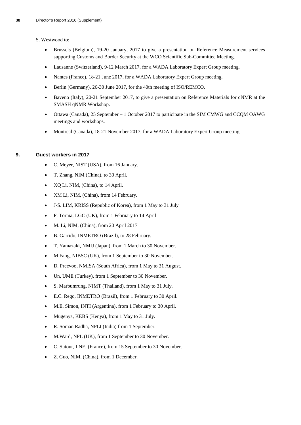S. Westwood to:

- Brussels (Belgium), 19-20 January, 2017 to give a presentation on Reference Measurement services supporting Customs and Border Security at the WCO Scientific Sub-Committee Meeting.
- Lausanne (Switzerland), 9-12 March 2017, for a WADA Laboratory Expert Group meeting.
- Nantes (France), 18-21 June 2017, for a WADA Laboratory Expert Group meeting.
- Berlin (Germany), 26-30 June 2017, for the 40th meeting of ISO/REMCO.
- Baveno (Italy), 20-21 September 2017, to give a presentation on Reference Materials for qNMR at the SMASH qNMR Workshop.
- Ottawa (Canada), 25 September 1 October 2017 to participate in the SIM CMWG and CCQM OAWG meetings and workshops.
- Montreal (Canada), 18-21 November 2017, for a WADA Laboratory Expert Group meeting.

#### **9. Guest workers in 2017**

- C. Meyer, NIST (USA), from 16 January.
- T. Zhang, NIM (China), to 30 April.
- XQ Li, NIM, (China), to 14 April.
- XM Li, NIM, (China), from 14 February.
- J-S. LIM, KRISS (Republic of Korea), from 1 May to 31 July
- F. Torma, LGC (UK), from 1 February to 14 April
- M. Li, NIM, (China), from 20 April 2017
- B. Garrido, INMETRO (Brazil), to 28 February.
- T. Yamazaki, NMIJ (Japan), from 1 March to 30 November.
- M Fang, NIBSC (UK), from 1 September to 30 November.
- D. Preevoo, NMISA (South Africa), from 1 May to 31 August.
- Un, UME (Turkey), from 1 September to 30 November.
- S. Marbumrung, NIMT (Thailand), from 1 May to 31 July.
- E.C. Rego, INMETRO (Brazil), from 1 February to 30 April.
- M.E. Simon, INTI (Argentina), from 1 February to 30 April.
- Mugenya, KEBS (Kenya), from 1 May to 31 July.
- R. Soman Radha, NPLI (India) from 1 September.
- M. Ward, NPL (UK), from 1 September to 30 November.
- C. Sutour, LNE, (France), from 15 September to 30 November.
- Z. Guo, NIM, (China), from 1 December.